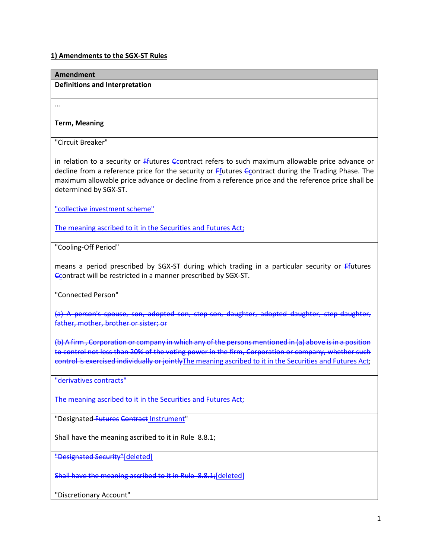# **1) Amendments to the SGX-ST Rules**

| <b>Amendment</b>                                                                                                                                                                                                                                                                                                                        |
|-----------------------------------------------------------------------------------------------------------------------------------------------------------------------------------------------------------------------------------------------------------------------------------------------------------------------------------------|
| <b>Definitions and Interpretation</b>                                                                                                                                                                                                                                                                                                   |
| $\cdots$                                                                                                                                                                                                                                                                                                                                |
| <b>Term, Meaning</b>                                                                                                                                                                                                                                                                                                                    |
| "Circuit Breaker"                                                                                                                                                                                                                                                                                                                       |
| in relation to a security or Ffutures Econtract refers to such maximum allowable price advance or<br>decline from a reference price for the security or Ffutures Ccontract during the Trading Phase. The<br>maximum allowable price advance or decline from a reference price and the reference price shall be<br>determined by SGX-ST. |
| "collective investment scheme"                                                                                                                                                                                                                                                                                                          |
| The meaning ascribed to it in the Securities and Futures Act;                                                                                                                                                                                                                                                                           |
| "Cooling-Off Period"                                                                                                                                                                                                                                                                                                                    |
| means a period prescribed by SGX-ST during which trading in a particular security or Ffutures<br>Contract will be restricted in a manner prescribed by SGX-ST.                                                                                                                                                                          |
| "Connected Person"                                                                                                                                                                                                                                                                                                                      |
| (a) A person's spouse, son, adopted son, step-son, daughter, adopted daughter, step-daughter,<br>father, mother, brother or sister; or                                                                                                                                                                                                  |
| (b) A firm, Corporation or company in which any of the persons mentioned in (a) above is in a position<br>to control not less than 20% of the voting power in the firm, Corporation or company, whether such<br>control is exercised individually or jointly The meaning ascribed to it in the Securities and Futures Act;              |
| "derivatives contracts"                                                                                                                                                                                                                                                                                                                 |
| The meaning ascribed to it in the Securities and Futures Act;                                                                                                                                                                                                                                                                           |
| "Designated-Futures Contract Instrument"                                                                                                                                                                                                                                                                                                |
| Shall have the meaning ascribed to it in Rule 8.8.1;                                                                                                                                                                                                                                                                                    |
| "Designated Security"[deleted]                                                                                                                                                                                                                                                                                                          |
| Shall have the meaning ascribed to it in Rule 8.8.1; [deleted]                                                                                                                                                                                                                                                                          |
| "Discretionary Account"                                                                                                                                                                                                                                                                                                                 |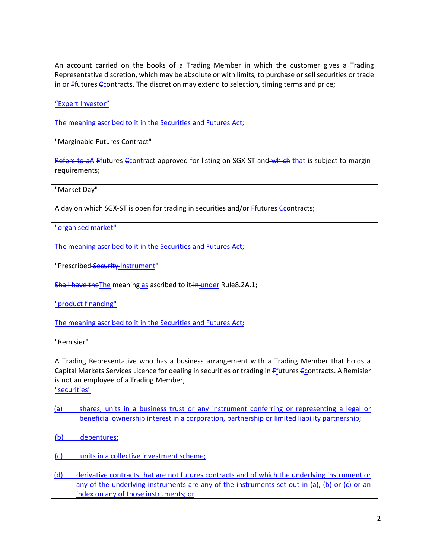An account carried on the books of a Trading Member in which the customer gives a Trading Representative discretion, which may be absolute or with limits, to purchase or sell securities or trade in or Ffutures Ccontracts. The discretion may extend to selection, timing terms and price;

"Expert Investor"

The meaning ascribed to it in the Securities and Futures Act;

"Marginable Futures Contract"

Refers to aA Ffutures Ccontract approved for listing on SGX-ST and which that is subject to margin requirements;

"Market Day"

A day on which SGX-ST is open for trading in securities and/or  $F_{\text{f}}$ utures  $G_{\text{c}}$ ontracts;

"organised market"

The meaning ascribed to it in the Securities and Futures Act;

"Prescribed Security Instrument"

Shall have the The meaning as ascribed to it-in-under Rule8.2A.1;

"product financing"

The meaning ascribed to it in the Securities and Futures Act;

"Remisier"

A Trading Representative who has a business arrangement with a Trading Member that holds a Capital Markets Services Licence for dealing in securities or trading in *Ffutures Ccontracts*. A Remisier is not an employee of a Trading Member;

"securities"

(a) shares, units in a business trust or any instrument conferring or representing a legal or beneficial ownership interest in a corporation, partnership or limited liability partnership;

(b) debentures;

(c) units in a collective investment scheme;

(d) derivative contracts that are not futures contracts and of which the underlying instrument or any of the underlying instruments are any of the instruments set out in (a), (b) or (c) or an index on any of those instruments; or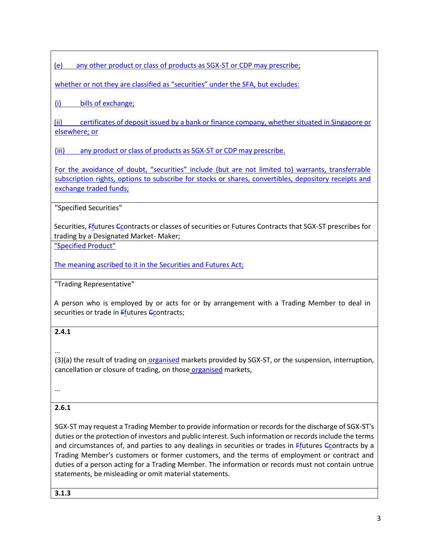(e) any other product or class of products as SGX-ST or CDP may prescribe;

whether or not they are classified as "securities" under the SFA, but excludes:

(i) bills of exchange;

(ii) certificates of deposit issued by a bank or finance company, whether situated in Singapore or elsewhere; or

(iii) any product or class of products as SGX-ST or CDP may prescribe.

For the avoidance of doubt, "securities" include (but are not limited to) warrants, transferrable subscription rights, options to subscribe for stocks or shares, convertibles, depository receipts and exchange traded funds;

"Specified Securities"

Securities, Ffutures Ccontracts or classes of securities or Futures Contracts that SGX-ST prescribes for trading by a Designated Market- Maker;

"Specified Product"

The meaning ascribed to it in the Securities and Futures Act;

"Trading Representative"

A person who is employed by or acts for or by arrangement with a Trading Member to deal in securities or trade in  $F_{\text{f}}$ utures  $F_{\text{c}}$ ontracts;

## **2.4.1**

…

(3)(a) the result of trading on organised markets provided by SGX-ST, or the suspension, interruption, cancellation or closure of trading, on those organised markets,

…

# **2.6.1**

SGX-ST may request a Trading Member to provide information or records for the discharge of SGX-ST's duties or the protection of investors and public interest. Such information or records include the terms and circumstances of, and parties to any dealings in securities or trades in  $F_1$  futures  $G_2$  contracts by a Trading Member's customers or former customers, and the terms of employment or contract and duties of a person acting for a Trading Member. The information or records must not contain untrue statements, be misleading or omit material statements.

**3.1.3**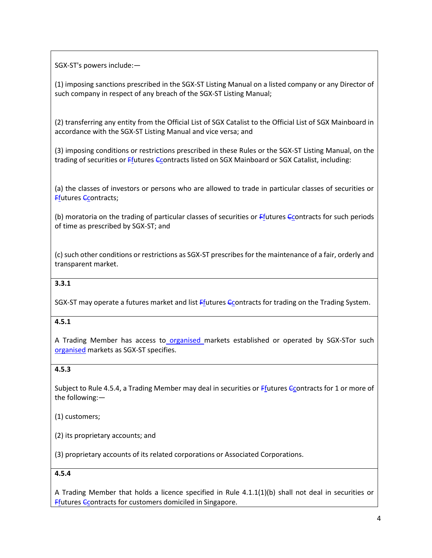SGX-ST's powers include:—

(1) imposing sanctions prescribed in the SGX-ST Listing Manual on a listed company or any Director of such company in respect of any breach of the SGX-ST Listing Manual;

(2) transferring any entity from the Official List of SGX Catalist to the Official List of SGX Mainboard in accordance with the SGX-ST Listing Manual and vice versa; and

(3) imposing conditions or restrictions prescribed in these Rules or the SGX-ST Listing Manual, on the trading of securities or Ffutures Ccontracts listed on SGX Mainboard or SGX Catalist, including:

(a) the classes of investors or persons who are allowed to trade in particular classes of securities or **Ffutures Ccontracts;** 

(b) moratoria on the trading of particular classes of securities or Ffutures Econtracts for such periods of time as prescribed by SGX-ST; and

(c) such other conditions or restrictions as SGX-ST prescribes for the maintenance of a fair, orderly and transparent market.

## **3.3.1**

SGX-ST may operate a futures market and list Ffutures *C*contracts for trading on the Trading System.

#### **4.5.1**

A Trading Member has access to organised markets established or operated by SGX-STor such organised markets as SGX-ST specifies.

## **4.5.3**

Subject to Rule 4.5.4, a Trading Member may deal in securities or Ffutures Ccontracts for 1 or more of the following:—

(1) customers;

(2) its proprietary accounts; and

(3) proprietary accounts of its related corporations or Associated Corporations.

#### **4.5.4**

A Trading Member that holds a licence specified in Rule 4.1.1(1)(b) shall not deal in securities or **Ffutures Ccontracts for customers domiciled in Singapore.**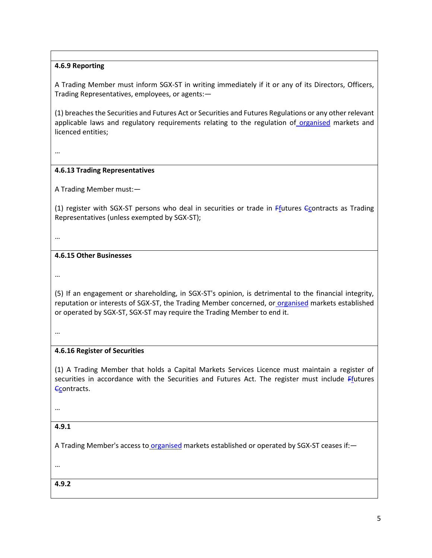## **4.6.9 Reporting**

A Trading Member must inform SGX-ST in writing immediately if it or any of its Directors, Officers, Trading Representatives, employees, or agents:—

(1) breaches the Securities and Futures Act or Securities and Futures Regulations or any other relevant applicable laws and regulatory requirements relating to the regulation of organised markets and licenced entities;

…

#### **4.6.13 Trading Representatives**

A Trading Member must:—

(1) register with SGX-ST persons who deal in securities or trade in  $F$ futures Ccontracts as Trading Representatives (unless exempted by SGX-ST);

…

#### **4.6.15 Other Businesses**

…

(5) If an engagement or shareholding, in SGX-ST's opinion, is detrimental to the financial integrity, reputation or interests of SGX-ST, the Trading Member concerned, or organised markets established or operated by SGX-ST, SGX-ST may require the Trading Member to end it.

…

#### **4.6.16 Register of Securities**

(1) A Trading Member that holds a Capital Markets Services Licence must maintain a register of securities in accordance with the Securities and Futures Act. The register must include Ffutures Ccontracts.

…

#### **4.9.1**

A Trading Member's access to organised markets established or operated by SGX-ST ceases if:-

…

**4.9.2**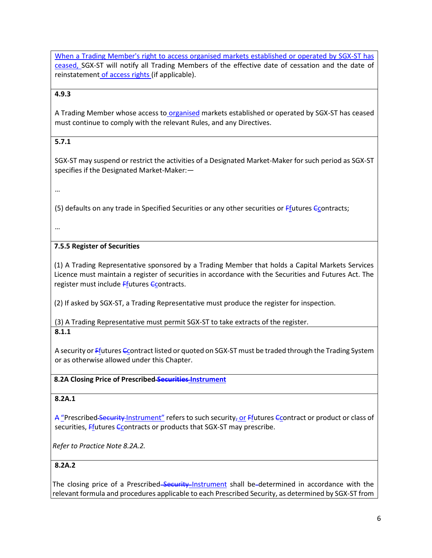When a Trading Member's right to access organised markets established or operated by SGX-ST has ceased, SGX-ST will notify all Trading Members of the effective date of cessation and the date of reinstatement of access rights (if applicable).

## **4.9.3**

A Trading Member whose access to organised markets established or operated by SGX-ST has ceased must continue to comply with the relevant Rules, and any Directives.

# **5.7.1**

SGX-ST may suspend or restrict the activities of a Designated Market-Maker for such period as SGX-ST specifies if the Designated Market-Maker:—

…

(5) defaults on any trade in Specified Securities or any other securities or Ffutures Ccontracts;

…

# **7.5.5 Register of Securities**

(1) A Trading Representative sponsored by a Trading Member that holds a Capital Markets Services Licence must maintain a register of securities in accordance with the Securities and Futures Act. The register must include Ffutures Ccontracts.

(2) If asked by SGX-ST, a Trading Representative must produce the register for inspection.

(3) A Trading Representative must permit SGX-ST to take extracts of the register.

**8.1.1**

A security or Ffutures Ccontract listed or quoted on SGX-ST must be traded through the Trading System or as otherwise allowed under this Chapter.

# **8.2A Closing Price of Prescribed Securities Instrument**

## **8.2A.1**

A "Prescribed Security Instrument" refers to such security, or Ffutures Ccontract or product or class of securities, Ffutures Ccontracts or products that SGX-ST may prescribe.

*Refer to Practice Note 8.2A.2.*

# **8.2A.2**

The closing price of a Prescribed-Security Instrument shall be-determined in accordance with the relevant formula and procedures applicable to each Prescribed Security, as determined by SGX-ST from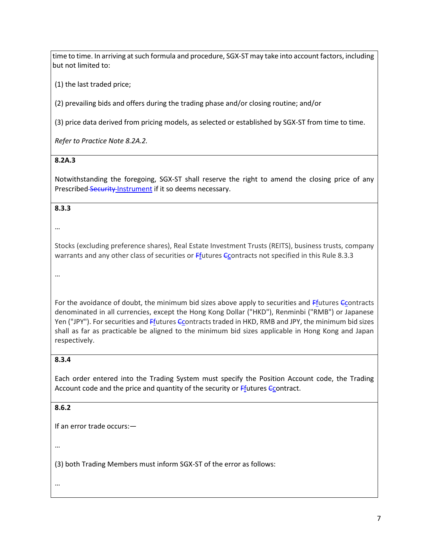time to time. In arriving at such formula and procedure, SGX-ST may take into account factors, including but not limited to:

(1) the last traded price;

(2) prevailing bids and offers during the trading phase and/or closing routine; and/or

(3) price data derived from pricing models, as selected or established by SGX-ST from time to time.

*Refer to Practice Note 8.2A.2.*

#### **8.2A.3**

Notwithstanding the foregoing, SGX-ST shall reserve the right to amend the closing price of any Prescribed Security Instrument if it so deems necessary.

#### **8.3.3**

…

Stocks (excluding preference shares), Real Estate Investment Trusts (REITS), business trusts, company warrants and any other class of securities or Ffutures Econtracts not specified in this Rule 8.3.3

…

For the avoidance of doubt, the minimum bid sizes above apply to securities and Ffutures Ccontracts denominated in all currencies, except the Hong Kong Dollar ("HKD"), Renminbi ("RMB") or Japanese Yen ("JPY"). For securities and Ffutures Ccontracts traded in HKD, RMB and JPY, the minimum bid sizes shall as far as practicable be aligned to the minimum bid sizes applicable in Hong Kong and Japan respectively.

## **8.3.4**

Each order entered into the Trading System must specify the Position Account code, the Trading Account code and the price and quantity of the security or **F**futures *C*contract.

## **8.6.2**

If an error trade occurs:—

…

(3) both Trading Members must inform SGX-ST of the error as follows: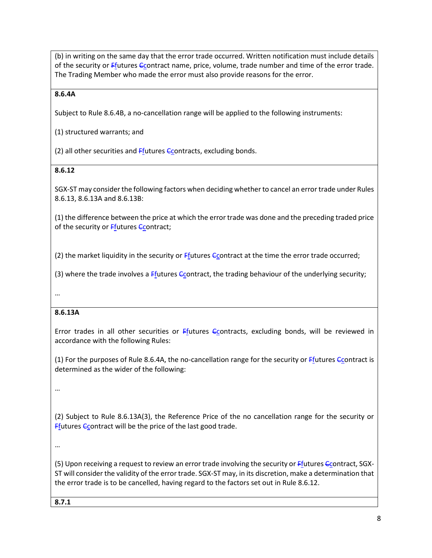(b) in writing on the same day that the error trade occurred. Written notification must include details of the security or *Ffutures Ccontract name, price, volume, trade number and time of the error trade.* The Trading Member who made the error must also provide reasons for the error.

#### **8.6.4A**

Subject to Rule 8.6.4B, a no-cancellation range will be applied to the following instruments:

(1) structured warrants; and

(2) all other securities and Ffutures Ccontracts, excluding bonds.

## **8.6.12**

SGX-ST may consider the following factors when deciding whether to cancel an error trade under Rules 8.6.13, 8.6.13A and 8.6.13B:

(1) the difference between the price at which the error trade was done and the preceding traded price of the security or **Ffutures Ccontract**;

(2) the market liquidity in the security or  $F_{\text{f}}$ utures  $C_{\text{cont}}$  at the time the error trade occurred;

(3) where the trade involves a  $E$ futures  $E$  contract, the trading behaviour of the underlying security;

…

## **8.6.13A**

Error trades in all other securities or  $F_1$  tures  $C_2$  contracts, excluding bonds, will be reviewed in accordance with the following Rules:

(1) For the purposes of Rule 8.6.4A, the no-cancellation range for the security or  $F_1$ utures  $G_2$ ontract is determined as the wider of the following:

…

(2) Subject to Rule 8.6.13A(3), the Reference Price of the no cancellation range for the security or **Ffutures Ccontract will be the price of the last good trade.** 

…

(5) Upon receiving a request to review an error trade involving the security or  $Ff$ <sub>utures</sub>  $Cc$ <sub>o</sub>ntract, SGX-ST will consider the validity of the error trade. SGX-ST may, in its discretion, make a determination that the error trade is to be cancelled, having regard to the factors set out in Rule 8.6.12.

**8.7.1**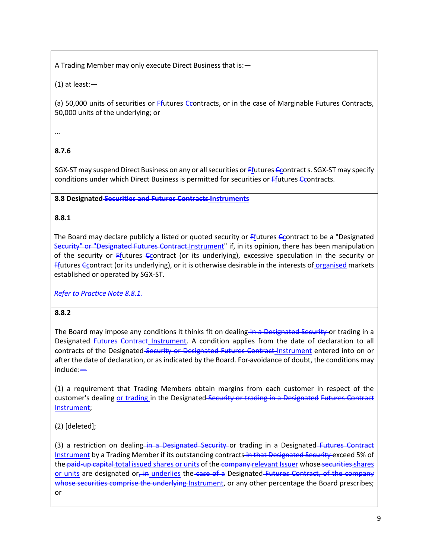A Trading Member may only execute Direct Business that is:—

(1) at least:—

(a) 50,000 units of securities or  $F$ futures Ccontracts, or in the case of Marginable Futures Contracts, 50,000 units of the underlying; or

…

# **8.7.6**

SGX-ST may suspend Direct Business on any or all securities or *Efutures C*contract s. SGX-ST may specify conditions under which Direct Business is permitted for securities or Ffutures Ccontracts.

## **8.8 Designated Securities and Futures Contracts Instruments**

## **8.8.1**

The Board may declare publicly a listed or quoted security or Ffutures Ccontract to be a "Designated" Security" or "Designated Futures Contract Instrument" if, in its opinion, there has been manipulation of the security or  $F_1$  tures  $C_2$  contract (or its underlying), excessive speculation in the security or Ffutures Ccontract (or its underlying), or it is otherwise desirable in the interests of organised markets established or operated by SGX-ST.

*Refer to Practice Note 8.8.1.*

## **8.8.2**

The Board may impose any conditions it thinks fit on dealing in a Designated Security or trading in a Designated Futures Contract Instrument. A condition applies from the date of declaration to all contracts of the Designated-Security or Designated Futures Contract-Instrument entered into on or after the date of declaration, or as indicated by the Board. For avoidance of doubt, the conditions may include:—

(1) a requirement that Trading Members obtain margins from each customer in respect of the customer's dealing or trading in the Designated-Security or trading in a Designated Futures Contract Instrument;

(2) [deleted];

(3) a restriction on dealing in a Designated Security or trading in a Designated Futures Contract Instrument by a Trading Member if its outstanding contracts in that Designated Security exceed 5% of the paid-up capital total issued shares or units of the company relevant Issuer whose securities shares or units are designated or, in underlies the case of a Designated Futures Contract, of the company whose securities comprise the underlying Instrument, or any other percentage the Board prescribes; or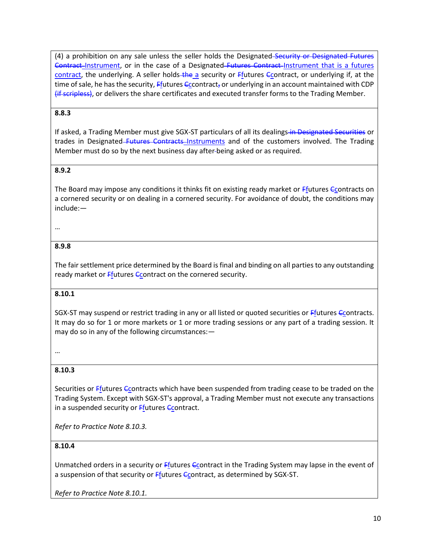(4) a prohibition on any sale unless the seller holds the Designated Security or Designated Futures Contract-Instrument, or in the case of a Designated-Futures Contract-Instrument that is a futures contract, the underlying. A seller holds-the a security or Ffutures Ccontract, or underlying if, at the time of sale, he has the security,  $Ff$  futures  $Cc$  contract, or underlying in an account maintained with CDP (if scripless), or delivers the share certificates and executed transfer forms to the Trading Member.

#### **8.8.3**

If asked, a Trading Member must give SGX-ST particulars of all its dealings in Designated Securities or trades in Designated–Futures Contracts–Instruments and of the customers involved. The Trading Member must do so by the next business day after being asked or as required.

#### **8.9.2**

The Board may impose any conditions it thinks fit on existing ready market or  $F_1$  tures  $C_2$  ontracts on a cornered security or on dealing in a cornered security. For avoidance of doubt, the conditions may include:—

#### …

#### **8.9.8**

The fair settlement price determined by the Board is final and binding on all parties to any outstanding ready market or Ffutures Ccontract on the cornered security.

#### **8.10.1**

SGX-ST may suspend or restrict trading in any or all listed or quoted securities or Ffutures Ccontracts. It may do so for 1 or more markets or 1 or more trading sessions or any part of a trading session. It may do so in any of the following circumstances:—

…

#### **8.10.3**

Securities or  $F$ futures C contracts which have been suspended from trading cease to be traded on the Trading System. Except with SGX-ST's approval, a Trading Member must not execute any transactions in a suspended security or  $F$ futures  $C$ contract.

*Refer to Practice Note 8.10.3.*

#### **8.10.4**

Unmatched orders in a security or  $F_1$  tutures  $C_2$  contract in the Trading System may lapse in the event of a suspension of that security or  $F_1$  tutures  $G_2$  contract, as determined by SGX-ST.

*Refer to Practice Note 8.10.1.*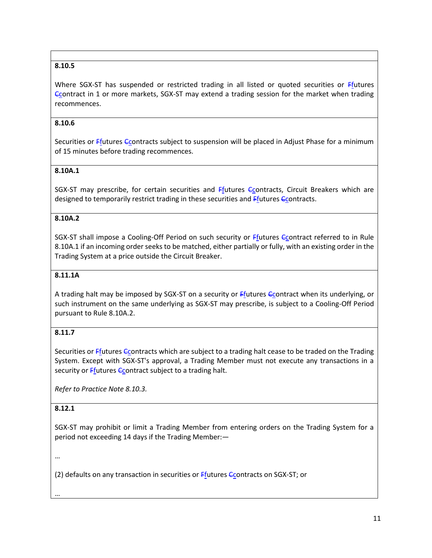## **8.10.5**

Where SGX-ST has suspended or restricted trading in all listed or quoted securities or  $Ff$ <sub>u</sub>tures Ccontract in 1 or more markets, SGX-ST may extend a trading session for the market when trading recommences.

#### **8.10.6**

Securities or  $F_{\text{f}}$ utures Contracts subject to suspension will be placed in Adjust Phase for a minimum of 15 minutes before trading recommences.

#### **8.10A.1**

SGX-ST may prescribe, for certain securities and  $F$ futures  $C$ contracts, Circuit Breakers which are designed to temporarily restrict trading in these securities and *Ffutures Ccontracts*.

#### **8.10A.2**

SGX-ST shall impose a Cooling-Off Period on such security or Ffutures Ccontract referred to in Rule 8.10A.1 if an incoming order seeks to be matched, either partially or fully, with an existing order in the Trading System at a price outside the Circuit Breaker.

#### **8.11.1A**

A trading halt may be imposed by SGX-ST on a security or Ffutures Ccontract when its underlying, or such instrument on the same underlying as SGX-ST may prescribe, is subject to a Cooling-Off Period pursuant to Rule 8.10A.2.

#### **8.11.7**

Securities or  $F$  futures  $G$  contracts which are subject to a trading halt cease to be traded on the Trading System. Except with SGX-ST's approval, a Trading Member must not execute any transactions in a security or  $F_1$  tutures  $F_2$  contract subject to a trading halt.

*Refer to Practice Note 8.10.3.*

#### **8.12.1**

SGX-ST may prohibit or limit a Trading Member from entering orders on the Trading System for a period not exceeding 14 days if the Trading Member:—

…

(2) defaults on any transaction in securities or Ffutures Ccontracts on SGX-ST; or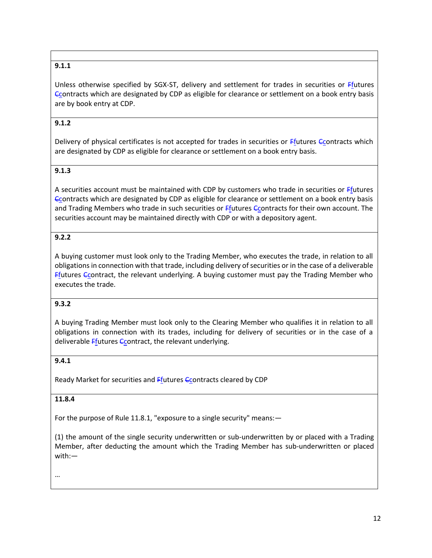# **9.1.1**

Unless otherwise specified by SGX-ST, delivery and settlement for trades in securities or Ffutures Ccontracts which are designated by CDP as eligible for clearance or settlement on a book entry basis are by book entry at CDP.

## **9.1.2**

Delivery of physical certificates is not accepted for trades in securities or Ffutures Ccontracts which are designated by CDP as eligible for clearance or settlement on a book entry basis.

## **9.1.3**

A securities account must be maintained with CDP by customers who trade in securities or Ffutures Ccontracts which are designated by CDP as eligible for clearance or settlement on a book entry basis and Trading Members who trade in such securities or *Efutures C*contracts for their own account. The securities account may be maintained directly with CDP or with a depository agent.

## **9.2.2**

A buying customer must look only to the Trading Member, who executes the trade, in relation to all obligations in connection with that trade, including delivery of securities or in the case of a deliverable  $Ff$ utures  $G$  Contract, the relevant underlying. A buying customer must pay the Trading Member who executes the trade.

#### **9.3.2**

A buying Trading Member must look only to the Clearing Member who qualifies it in relation to all obligations in connection with its trades, including for delivery of securities or in the case of a deliverable Ffutures Ccontract, the relevant underlying.

## **9.4.1**

Ready Market for securities and Ffutures Ccontracts cleared by CDP

### **11.8.4**

For the purpose of Rule 11.8.1, "exposure to a single security" means:—

(1) the amount of the single security underwritten or sub-underwritten by or placed with a Trading Member, after deducting the amount which the Trading Member has sub-underwritten or placed with:—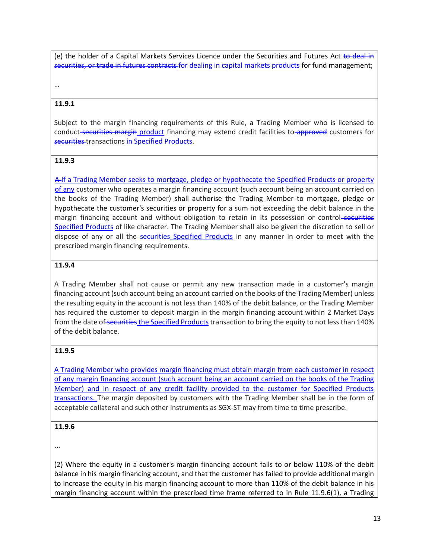(e) the holder of a Capital Markets Services Licence under the Securities and Futures Act to deal in securities, or trade in futures contracts for dealing in capital markets products for fund management;

…

## **11.9.1**

Subject to the margin financing requirements of this Rule, a Trading Member who is licensed to conduct-securities margin product financing may extend credit facilities to-approved customers for securities transactions in Specified Products.

#### **11.9.3**

A If a Trading Member seeks to mortgage, pledge or hypothecate the Specified Products or property of any customer who operates a margin financing account-(such account being an account carried on the books of the Trading Member) shall authorise the Trading Member to mortgage, pledge or hypothecate the customer's securities or property for a sum not exceeding the debit balance in the margin financing account and without obligation to retain in its possession or control-securities Specified Products of like character. The Trading Member shall also be given the discretion to sell or dispose of any or all the securities Specified Products in any manner in order to meet with the prescribed margin financing requirements.

#### **11.9.4**

A Trading Member shall not cause or permit any new transaction made in a customer's margin financing account (such account being an account carried on the books of the Trading Member) unless the resulting equity in the account is not less than 140% of the debit balance, or the Trading Member has required the customer to deposit margin in the margin financing account within 2 Market Days from the date of securities the Specified Products transaction to bring the equity to not less than 140% of the debit balance.

## **11.9.5**

A Trading Member who provides margin financing must obtain margin from each customer in respect of any margin financing account (such account being an account carried on the books of the Trading Member) and in respect of any credit facility provided to the customer for Specified Products transactions. The margin deposited by customers with the Trading Member shall be in the form of acceptable collateral and such other instruments as SGX-ST may from time to time prescribe.

#### **11.9.6**

…

(2) Where the equity in a customer's margin financing account falls to or below 110% of the debit balance in his margin financing account, and that the customer has failed to provide additional margin to increase the equity in his margin financing account to more than 110% of the debit balance in his margin financing account within the prescribed time frame referred to in Rule 11.9.6(1), a Trading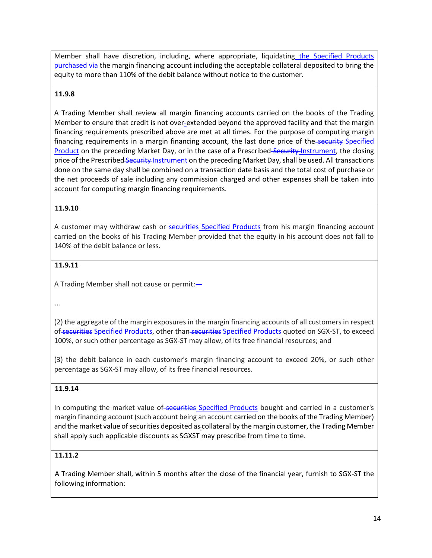Member shall have discretion, including, where appropriate, liquidating the Specified Products purchased via the margin financing account including the acceptable collateral deposited to bring the equity to more than 110% of the debit balance without notice to the customer.

#### **11.9.8**

A Trading Member shall review all margin financing accounts carried on the books of the Trading Member to ensure that credit is not over-extended beyond the approved facility and that the margin financing requirements prescribed above are met at all times. For the purpose of computing margin financing requirements in a margin financing account, the last done price of the-security Specified Product on the preceding Market Day, or in the case of a Prescribed-Security-Instrument, the closing price of the Prescribed Security Instrument on the preceding Market Day, shall be used. All transactions done on the same day shall be combined on a transaction date basis and the total cost of purchase or the net proceeds of sale including any commission charged and other expenses shall be taken into account for computing margin financing requirements.

#### **11.9.10**

A customer may withdraw cash or-securities Specified Products from his margin financing account carried on the books of his Trading Member provided that the equity in his account does not fall to 140% of the debit balance or less.

#### **11.9.11**

A Trading Member shall not cause or permit:—

…

(2) the aggregate of the margin exposures in the margin financing accounts of all customers in respect of securities Specified Products, other than securities Specified Products quoted on SGX-ST, to exceed 100%, or such other percentage as SGX-ST may allow, of its free financial resources; and

(3) the debit balance in each customer's margin financing account to exceed 20%, or such other percentage as SGX-ST may allow, of its free financial resources.

#### **11.9.14**

In computing the market value of securities Specified Products bought and carried in a customer's margin financing account (such account being an account carried on the books of the Trading Member) and the market value of securities deposited as-collateral by the margin customer, the Trading Member shall apply such applicable discounts as SGXST may prescribe from time to time.

#### **11.11.2**

A Trading Member shall, within 5 months after the close of the financial year, furnish to SGX-ST the following information: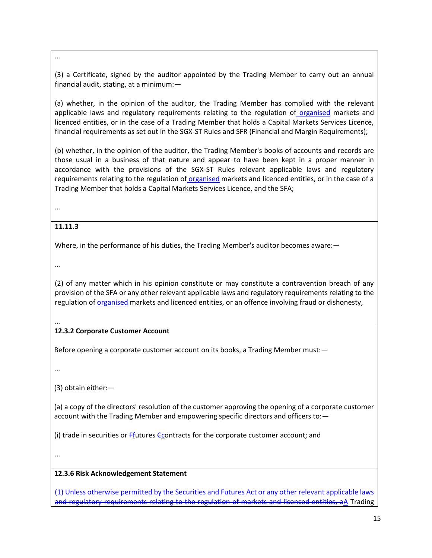…

(3) a Certificate, signed by the auditor appointed by the Trading Member to carry out an annual financial audit, stating, at a minimum:—

(a) whether, in the opinion of the auditor, the Trading Member has complied with the relevant applicable laws and regulatory requirements relating to the regulation of organised markets and licenced entities, or in the case of a Trading Member that holds a Capital Markets Services Licence, financial requirements as set out in the SGX-ST Rules and SFR (Financial and Margin Requirements);

(b) whether, in the opinion of the auditor, the Trading Member's books of accounts and records are those usual in a business of that nature and appear to have been kept in a proper manner in accordance with the provisions of the SGX-ST Rules relevant applicable laws and regulatory requirements relating to the regulation of organised markets and licenced entities, or in the case of a Trading Member that holds a Capital Markets Services Licence, and the SFA;

…

## **11.11.3**

Where, in the performance of his duties, the Trading Member's auditor becomes aware:—

…

(2) of any matter which in his opinion constitute or may constitute a contravention breach of any provision of the SFA or any other relevant applicable laws and regulatory requirements relating to the regulation of organised markets and licenced entities, or an offence involving fraud or dishonesty,

…

# **12.3.2 Corporate Customer Account**

Before opening a corporate customer account on its books, a Trading Member must:—

…

(3) obtain either:—

(a) a copy of the directors' resolution of the customer approving the opening of a corporate customer account with the Trading Member and empowering specific directors and officers to:—

(i) trade in securities or  $F_{\text{f}}$ utures Contracts for the corporate customer account; and

…

## **12.3.6 Risk Acknowledgement Statement**

(1) Unless otherwise permitted by the Securities and Futures Act or any other relevant applicable laws and regulatory requirements relating to the regulation of markets and licenced entities, aA Trading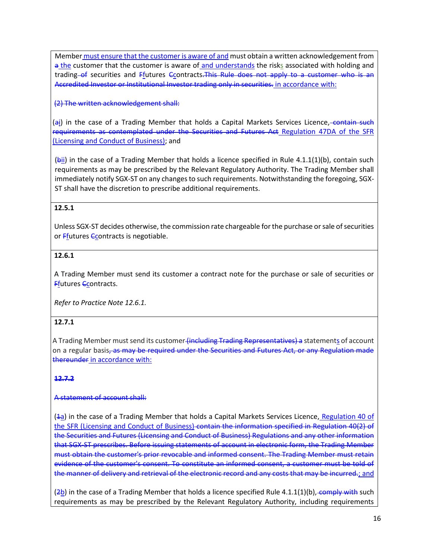Member must ensure that the customer is aware of and must obtain a written acknowledgement from a the customer that the customer is aware of and understands the risks associated with holding and trading of securities and Ffutures Ccontracts. This Rule does not apply to a customer who is an Accredited Investor or Institutional Investor trading only in securities. in accordance with:

(2) The written acknowledgement shall:

(ai) in the case of a Trading Member that holds a Capital Markets Services Licence, contain such requirements as contemplated under the Securities and Futures Act Regulation 47DA of the SFR (Licensing and Conduct of Business); and

 $(bii)$  in the case of a Trading Member that holds a licence specified in Rule 4.1.1(1)(b), contain such requirements as may be prescribed by the Relevant Regulatory Authority. The Trading Member shall immediately notify SGX-ST on any changes to such requirements. Notwithstanding the foregoing, SGX-ST shall have the discretion to prescribe additional requirements.

## **12.5.1**

Unless SGX-ST decides otherwise, the commission rate chargeable for the purchase or sale of securities or **Ffutures Ccontracts** is negotiable.

#### **12.6.1**

A Trading Member must send its customer a contract note for the purchase or sale of securities or Ffutures Ccontracts.

*Refer to Practice Note 12.6.1.*

#### **12.7.1**

A Trading Member must send its customer <del>(including Trading Representatives) a</del> statement<u>s</u> of account on a regular basis<del>, as may be required under the Securities and Futures Act, or any Regulation made</del> thereunder in accordance with:

#### **12.7.2**

#### A statement of account shall:

( $\frac{1}{a}$ ) in the case of a Trading Member that holds a Capital Markets Services Licence, Regulation 40 of the SFR (Licensing and Conduct of Business) contain the information specified in Regulation 40(2) of the Securities and Futures (Licensing and Conduct of Business) Regulations and any other information that SGX-ST prescribes. Before issuing statements of account in electronic form, the Trading Member must obtain the customer's prior revocable and informed consent. The Trading Member must retain evidence of the customer's consent. To constitute an informed consent, a customer must be told of the manner of delivery and retrieval of the electronic record and any costs that may be incurred.; and

 $(2b)$  in the case of a Trading Member that holds a licence specified Rule 4.1.1(1)(b), comply with such requirements as may be prescribed by the Relevant Regulatory Authority, including requirements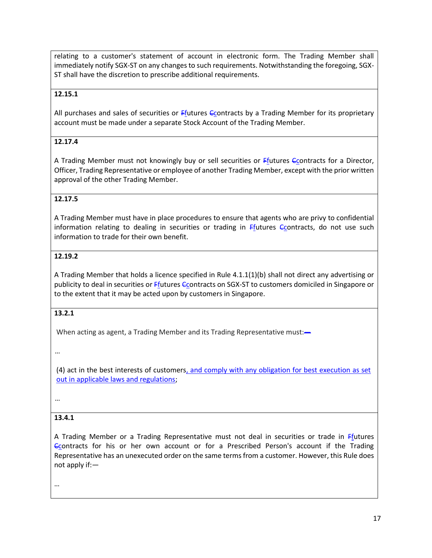relating to a customer's statement of account in electronic form. The Trading Member shall immediately notify SGX-ST on any changes to such requirements. Notwithstanding the foregoing, SGX-ST shall have the discretion to prescribe additional requirements.

#### **12.15.1**

All purchases and sales of securities or  $F$ futures Contracts by a Trading Member for its proprietary account must be made under a separate Stock Account of the Trading Member.

#### **12.17.4**

A Trading Member must not knowingly buy or sell securities or  $F_{1}$ utures  $G_{2}$ contracts for a Director, Officer, Trading Representative or employee of another Trading Member, except with the prior written approval of the other Trading Member.

#### **12.17.5**

A Trading Member must have in place procedures to ensure that agents who are privy to confidential information relating to dealing in securities or trading in  $F_{\text{f}}$ utures  $F_{\text{f}}$ contracts, do not use such information to trade for their own benefit.

#### **12.19.2**

A Trading Member that holds a licence specified in Rule 4.1.1(1)(b) shall not direct any advertising or publicity to deal in securities or Ffutures  $\epsilon$ contracts on SGX-ST to customers domiciled in Singapore or to the extent that it may be acted upon by customers in Singapore.

#### **13.2.1**

When acting as agent, a Trading Member and its Trading Representative must:-

…

(4) act in the best interests of customers, and comply with any obligation for best execution as set out in applicable laws and regulations;

…

#### **13.4.1**

A Trading Member or a Trading Representative must not deal in securities or trade in Ffutures Ccontracts for his or her own account or for a Prescribed Person's account if the Trading Representative has an unexecuted order on the same terms from a customer. However, this Rule does not apply if:—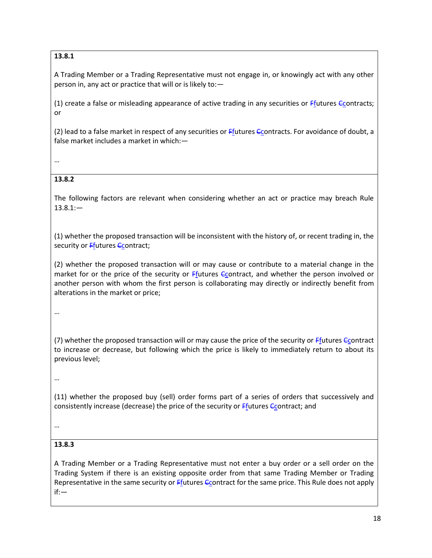# **13.8.1**

A Trading Member or a Trading Representative must not engage in, or knowingly act with any other person in, any act or practice that will or is likely to:—

(1) create a false or misleading appearance of active trading in any securities or  $F$ futures  $C$ contracts; or

(2) lead to a false market in respect of any securities or Ffutures Ccontracts. For avoidance of doubt, a false market includes a market in which:—

…

## **13.8.2**

The following factors are relevant when considering whether an act or practice may breach Rule  $13.8.1:$ 

(1) whether the proposed transaction will be inconsistent with the history of, or recent trading in, the security or Ffutures Ccontract;

(2) whether the proposed transaction will or may cause or contribute to a material change in the market for or the price of the security or Ffutures Ccontract, and whether the person involved or another person with whom the first person is collaborating may directly or indirectly benefit from alterations in the market or price;

…

(7) whether the proposed transaction will or may cause the price of the security or Ffutures Ccontract to increase or decrease, but following which the price is likely to immediately return to about its previous level;

…

(11) whether the proposed buy (sell) order forms part of a series of orders that successively and consistently increase (decrease) the price of the security or  $F$ futures  $C$ contract; and

…

## **13.8.3**

A Trading Member or a Trading Representative must not enter a buy order or a sell order on the Trading System if there is an existing opposite order from that same Trading Member or Trading Representative in the same security or  $F_1$  tures  $C_2$  contract for the same price. This Rule does not apply if:—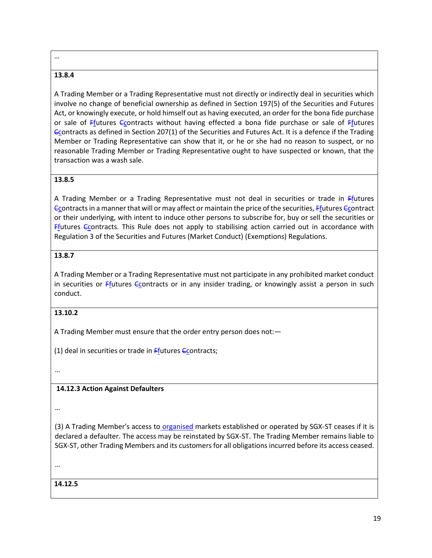#### …

## **13.8.4**

A Trading Member or a Trading Representative must not directly or indirectly deal in securities which involve no change of beneficial ownership as defined in Section 197(5) of the Securities and Futures Act, or knowingly execute, or hold himself out as having executed, an order for the bona fide purchase or sale of Ffutures Ccontracts without having effected a bona fide purchase or sale of Ffutures Ccontracts as defined in Section 207(1) of the Securities and Futures Act. It is a defence if the Trading Member or Trading Representative can show that it, or he or she had no reason to suspect, or no reasonable Trading Member or Trading Representative ought to have suspected or known, that the transaction was a wash sale.

## **13.8.5**

A Trading Member or a Trading Representative must not deal in securities or trade in Ffutures Ccontracts in a manner that will or may affect or maintain the price of the securities, Ffutures Ccontract or their underlying, with intent to induce other persons to subscribe for, buy or sell the securities or Ffutures Ccontracts. This Rule does not apply to stabilising action carried out in accordance with Regulation 3 of the Securities and Futures (Market Conduct) (Exemptions) Regulations.

## **13.8.7**

A Trading Member or a Trading Representative must not participate in any prohibited market conduct in securities or Ffutures Ccontracts or in any insider trading, or knowingly assist a person in such conduct.

#### **13.10.2**

A Trading Member must ensure that the order entry person does not:—

(1) deal in securities or trade in  $Ff$ utures  $F$ contracts;

…

## **14.12.3 Action Against Defaulters**

…

(3) A Trading Member's access to organised markets established or operated by SGX-ST ceases if it is declared a defaulter. The access may be reinstated by SGX-ST. The Trading Member remains liable to SGX-ST, other Trading Members and its customers for all obligations incurred before its access ceased.

…

**14.12.5**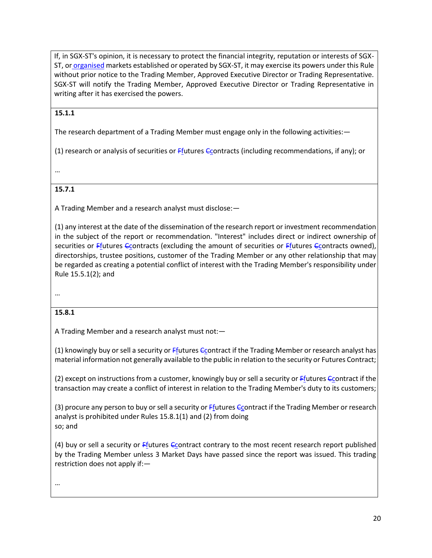If, in SGX-ST's opinion, it is necessary to protect the financial integrity, reputation or interests of SGX-ST, or organised markets established or operated by SGX-ST, it may exercise its powers under this Rule without prior notice to the Trading Member, Approved Executive Director or Trading Representative. SGX-ST will notify the Trading Member, Approved Executive Director or Trading Representative in writing after it has exercised the powers.

#### **15.1.1**

The research department of a Trading Member must engage only in the following activities: -

(1) research or analysis of securities or Ffutures Ccontracts (including recommendations, if any); or

…

#### **15.7.1**

A Trading Member and a research analyst must disclose:—

(1) any interest at the date of the dissemination of the research report or investment recommendation in the subject of the report or recommendation. "Interest" includes direct or indirect ownership of securities or  $F_{\text{f}}$ utures Contracts (excluding the amount of securities or  $F_{\text{f}}$ utures Contracts owned), directorships, trustee positions, customer of the Trading Member or any other relationship that may be regarded as creating a potential conflict of interest with the Trading Member's responsibility under Rule 15.5.1(2); and

…

#### **15.8.1**

A Trading Member and a research analyst must not:—

(1) knowingly buy or sell a security or  $Ff$  tutures  $Gf$  contract if the Trading Member or research analyst has material information not generally available to the public in relation to the security or Futures Contract;

(2) except on instructions from a customer, knowingly buy or sell a security or  $F$ futures  $C$ contract if the transaction may create a conflict of interest in relation to the Trading Member's duty to its customers;

(3) procure any person to buy or sell a security or  $F$ futures  $G$ contract if the Trading Member or research analyst is prohibited under Rules 15.8.1(1) and (2) from doing so; and

(4) buy or sell a security or  $F_1$  tutures  $G_2$  contract contrary to the most recent research report published by the Trading Member unless 3 Market Days have passed since the report was issued. This trading restriction does not apply if:—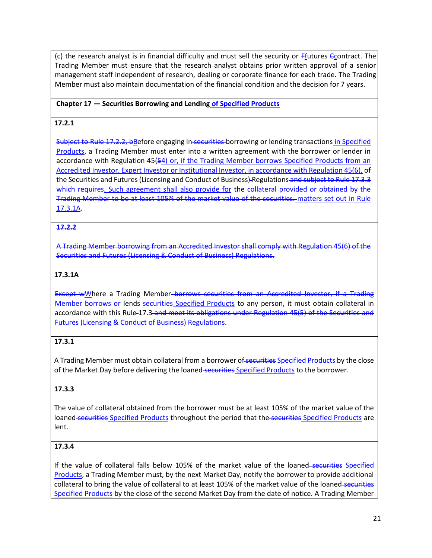(c) the research analyst is in financial difficulty and must sell the security or  $F_1$ utures  $C_2$ ontract. The Trading Member must ensure that the research analyst obtains prior written approval of a senior management staff independent of research, dealing or corporate finance for each trade. The Trading Member must also maintain documentation of the financial condition and the decision for 7 years.

#### **Chapter 17 — Securities Borrowing and Lending of Specified Products**

#### **17.2.1**

Subject to Rule 17.2.2, bBefore engaging in securities borrowing or lending transactions in Specified Products, a Trading Member must enter into a written agreement with the borrower or lender in accordance with Regulation 45(54) or, if the Trading Member borrows Specified Products from an Accredited Investor, Expert Investor or Institutional Investor, in accordance with Regulation 45(6), of the Securities and Futures (Licensing and Conduct of Business) Regulations and subject to Rule 17.3.3 which requires. Such agreement shall also provide for the collateral provided or obtained by the Trading Member to be at least 105% of the market value of the securities. matters set out in Rule 17.3.1A.

#### **17.2.2**

A Trading Member borrowing from an Accredited Investor shall comply with Regulation 45(6) of the Securities and Futures (Licensing & Conduct of Business) Regulations.

#### **17.3.1A**

Except wWhere a Trading Member-borrows securities from an Accredited Investor, if a Trading Member borrows or lends-securities Specified Products to any person, it must obtain collateral in accordance with this Rule-17.3 and meet its obligations under Regulation 45(5) of the Securities and Futures (Licensing & Conduct of Business) Regulations.

## **17.3.1**

A Trading Member must obtain collateral from a borrower of securities Specified Products by the close of the Market Day before delivering the loaned securities Specified Products to the borrower.

#### **17.3.3**

The value of collateral obtained from the borrower must be at least 105% of the market value of the loaned securities Specified Products throughout the period that the securities Specified Products are lent.

# **17.3.4**

If the value of collateral falls below 105% of the market value of the loaned-securities Specified Products, a Trading Member must, by the next Market Day, notify the borrower to provide additional collateral to bring the value of collateral to at least 105% of the market value of the loaned securities Specified Products by the close of the second Market Day from the date of notice. A Trading Member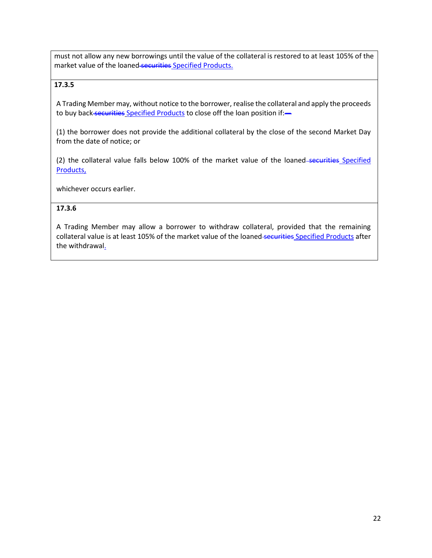must not allow any new borrowings until the value of the collateral is restored to at least 105% of the market value of the loaned securities Specified Products.

## **17.3.5**

A Trading Member may, without notice to the borrower, realise the collateral and apply the proceeds to buy back securities Specified Products to close off the loan position if:-

(1) the borrower does not provide the additional collateral by the close of the second Market Day from the date of notice; or

(2) the collateral value falls below 100% of the market value of the loaned-securities Specified Products,

whichever occurs earlier.

## **17.3.6**

A Trading Member may allow a borrower to withdraw collateral, provided that the remaining collateral value is at least 105% of the market value of the loaned securities Specified Products after the withdrawal.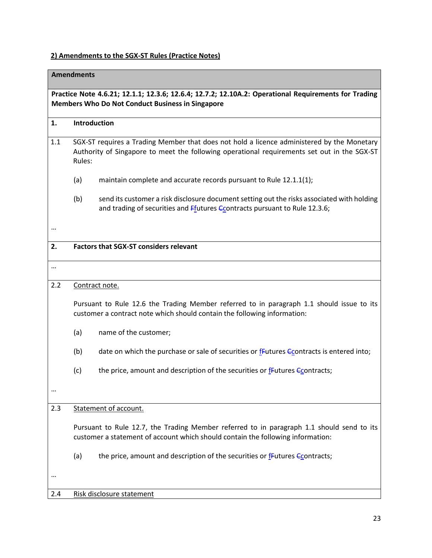# **2) Amendments to the SGX-ST Rules (Practice Notes)**

|          | <b>Amendments</b>                                                                                                                                                                                   |                                                                                                                                                                              |  |  |
|----------|-----------------------------------------------------------------------------------------------------------------------------------------------------------------------------------------------------|------------------------------------------------------------------------------------------------------------------------------------------------------------------------------|--|--|
|          | Practice Note 4.6.21; 12.1.1; 12.3.6; 12.6.4; 12.7.2; 12.10A.2: Operational Requirements for Trading<br><b>Members Who Do Not Conduct Business in Singapore</b>                                     |                                                                                                                                                                              |  |  |
| 1.       | Introduction                                                                                                                                                                                        |                                                                                                                                                                              |  |  |
| 1.1      | SGX-ST requires a Trading Member that does not hold a licence administered by the Monetary<br>Authority of Singapore to meet the following operational requirements set out in the SGX-ST<br>Rules: |                                                                                                                                                                              |  |  |
|          | (a)                                                                                                                                                                                                 | maintain complete and accurate records pursuant to Rule 12.1.1(1);                                                                                                           |  |  |
|          | (b)                                                                                                                                                                                                 | send its customer a risk disclosure document setting out the risks associated with holding<br>and trading of securities and Ffutures Ccontracts pursuant to Rule 12.3.6;     |  |  |
|          |                                                                                                                                                                                                     |                                                                                                                                                                              |  |  |
| 2.       |                                                                                                                                                                                                     | <b>Factors that SGX-ST considers relevant</b>                                                                                                                                |  |  |
| $\cdots$ |                                                                                                                                                                                                     |                                                                                                                                                                              |  |  |
| 2.2      |                                                                                                                                                                                                     | Contract note.                                                                                                                                                               |  |  |
|          |                                                                                                                                                                                                     | Pursuant to Rule 12.6 the Trading Member referred to in paragraph 1.1 should issue to its<br>customer a contract note which should contain the following information:        |  |  |
|          | (a)                                                                                                                                                                                                 | name of the customer;                                                                                                                                                        |  |  |
|          | (b)                                                                                                                                                                                                 | date on which the purchase or sale of securities or $f$ <sup>E</sup> utures $f$ Contracts is entered into;                                                                   |  |  |
|          | (c)                                                                                                                                                                                                 | the price, amount and description of the securities or <b>fFutures Gcontracts</b> ;                                                                                          |  |  |
| $\cdots$ |                                                                                                                                                                                                     |                                                                                                                                                                              |  |  |
| 2.3      |                                                                                                                                                                                                     | Statement of account.                                                                                                                                                        |  |  |
|          |                                                                                                                                                                                                     | Pursuant to Rule 12.7, the Trading Member referred to in paragraph 1.1 should send to its<br>customer a statement of account which should contain the following information: |  |  |
|          | (a)                                                                                                                                                                                                 | the price, amount and description of the securities or fFutures Econtracts;                                                                                                  |  |  |
|          |                                                                                                                                                                                                     |                                                                                                                                                                              |  |  |
| 2.4      |                                                                                                                                                                                                     | Risk disclosure statement                                                                                                                                                    |  |  |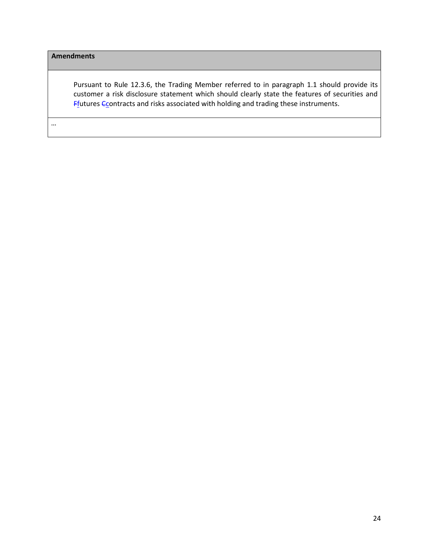Pursuant to Rule 12.3.6, the Trading Member referred to in paragraph 1.1 should provide its customer a risk disclosure statement which should clearly state the features of securities and  $F$ <sup>f</sup>utures  $C$  contracts and risks associated with holding and trading these instruments.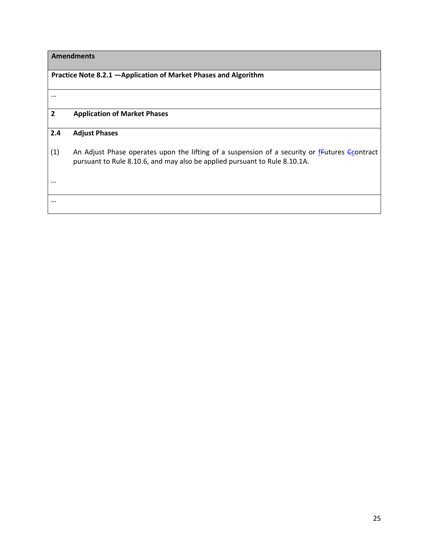# **Practice Note 8.2.1 —Application of Market Phases and Algorithm**

| $\overline{2}$ | <b>Application of Market Phases</b>                                                                                                                                                       |
|----------------|-------------------------------------------------------------------------------------------------------------------------------------------------------------------------------------------|
| 2.4            | <b>Adjust Phases</b>                                                                                                                                                                      |
| (1)            | An Adjust Phase operates upon the lifting of a suspension of a security or $f$ -Eutures $\epsilon$ contract<br>pursuant to Rule 8.10.6, and may also be applied pursuant to Rule 8.10.1A. |
| $\cdots$       |                                                                                                                                                                                           |
|                |                                                                                                                                                                                           |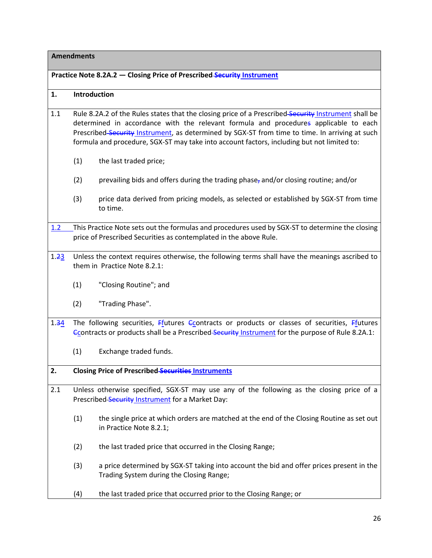#### **Practice Note 8.2A.2 — Closing Price of Prescribed Security Instrument**

#### **1. Introduction**

- 1.1 Rule 8.2A.2 of the Rules states that the closing price of a Prescribed-Security Instrument shall be determined in accordance with the relevant formula and procedures applicable to each Prescribed Security Instrument, as determined by SGX-ST from time to time. In arriving at such formula and procedure, SGX-ST may take into account factors, including but not limited to:
	- (1) the last traded price;
	- (2) prevailing bids and offers during the trading phase, and/or closing routine; and/or
	- (3) price data derived from pricing models, as selected or established by SGX-ST from time to time.
- 1.2 This Practice Note sets out the formulas and procedures used by SGX-ST to determine the closing price of Prescribed Securities as contemplated in the above Rule.
- 1.23 Unless the context requires otherwise, the following terms shall have the meanings ascribed to them in [Practice Note 8.2.1:](http://rulebook.sgx.com/en/display/display.html?rbid=3271&element_id=1771)
	- (1) "Closing Routine"; and
	- (2) "Trading Phase".
- 1.34 The following securities, Ffutures Ccontracts or products or classes of securities, Ffutures Econtracts or products shall be a Prescribed-Security Instrument for the purpose of Rule 8.2A.1:
	- (1) Exchange traded funds.

#### **2. Closing Price of Prescribed Securities Instruments**

- 2.1 Unless otherwise specified, SGX-ST may use any of the following as the closing price of a Prescribed Security Instrument for a Market Day:
	- (1) the single price at which orders are matched at the end of the Closing Routine as set out in Practice Note 8.2.1;
	- (2) the last traded price that occurred in the Closing Range;
	- (3) a price determined by SGX-ST taking into account the bid and offer prices present in the Trading System during the Closing Range;
	- (4) the last traded price that occurred prior to the Closing Range; or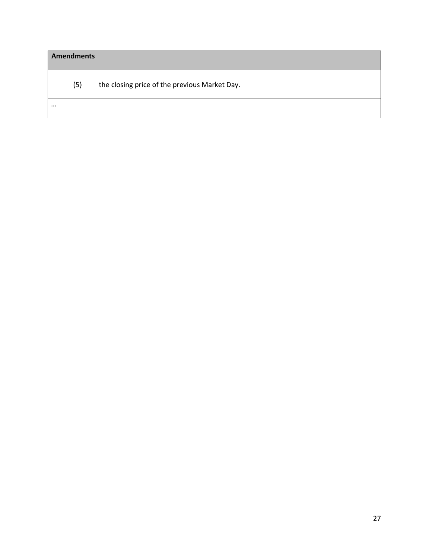| <b>Amendments</b> |                                               |  |
|-------------------|-----------------------------------------------|--|
| (5)               | the closing price of the previous Market Day. |  |
| $\cdots$          |                                               |  |
|                   |                                               |  |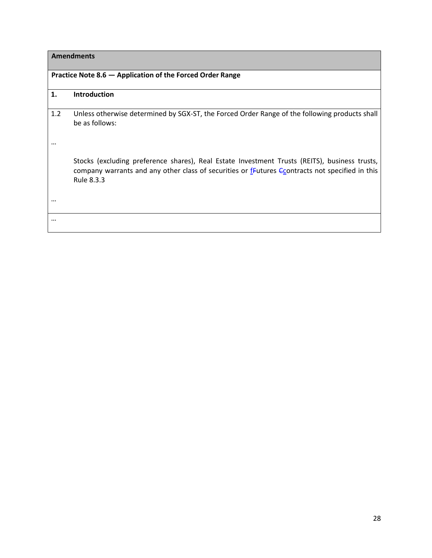#### **Practice Note 8.6 — Application of the Forced Order Range**

#### **1. Introduction**

1.2 Unless otherwise determined by SGX-ST, the Forced Order Range of the following products shall be as follows:

…

Stocks (excluding preference shares), Real Estate Investment Trusts (REITS), business trusts, company warrants and any other class of securities or  $f$ -Eutures  $\epsilon$  contracts not specified in this Rule 8.3.3

…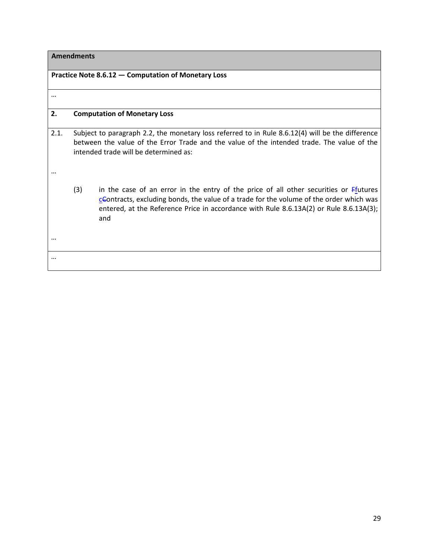|      |     | Practice Note 8.6.12 – Computation of Monetary Loss                                                                                                                                                                                                                                                   |
|------|-----|-------------------------------------------------------------------------------------------------------------------------------------------------------------------------------------------------------------------------------------------------------------------------------------------------------|
|      |     |                                                                                                                                                                                                                                                                                                       |
|      |     |                                                                                                                                                                                                                                                                                                       |
| 2.   |     | <b>Computation of Monetary Loss</b>                                                                                                                                                                                                                                                                   |
| 2.1. |     | Subject to paragraph 2.2, the monetary loss referred to in Rule 8.6.12(4) will be the difference<br>between the value of the Error Trade and the value of the intended trade. The value of the<br>intended trade will be determined as:                                                               |
|      |     |                                                                                                                                                                                                                                                                                                       |
|      | (3) | in the case of an error in the entry of the price of all other securities or $Ff$ <sub>1</sub> tutures<br>$c$ Contracts, excluding bonds, the value of a trade for the volume of the order which was<br>entered, at the Reference Price in accordance with Rule 8.6.13A(2) or Rule 8.6.13A(3);<br>and |
|      |     |                                                                                                                                                                                                                                                                                                       |
|      |     |                                                                                                                                                                                                                                                                                                       |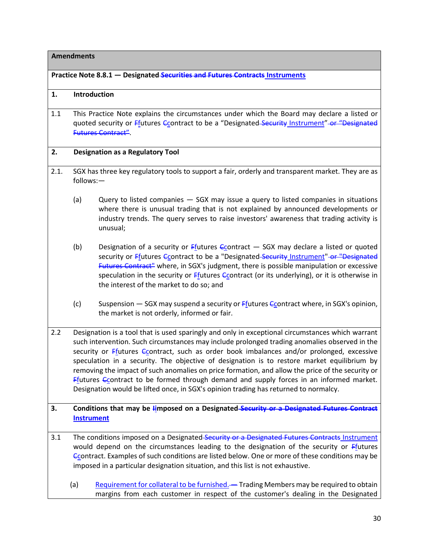**Practice Note 8.8.1 — Designated Securities and Futures Contracts Instruments**

#### **1. Introduction**

1.1 This Practice Note explains the circumstances under which the Board may declare a listed or quoted security or Ffutures Ccontract to be a "Designated Security Instrument" or "Designated Futures Contract".

#### **2. Designation as a Regulatory Tool**

- 2.1. SGX has three key regulatory tools to support a fair, orderly and transparent market. They are as follows:—
	- (a) Query to listed companies SGX may issue a query to listed companies in situations where there is unusual trading that is not explained by announced developments or industry trends. The query serves to raise investors' awareness that trading activity is unusual;
	- (b) Designation of a security or  $Ff$  tutures  $Ff$  Decementact  $-$  SGX may declare a listed or quoted security or **Ffutures Ccontract to be a "Designated Security Instrument"** or "Designated Futures Contract" where, in SGX's judgment, there is possible manipulation or excessive speculation in the security or  $Ff$  tutures  $Ff$  contract (or its underlying), or it is otherwise in the interest of the market to do so; and
	- (c) Suspension  $-$  SGX may suspend a security or  $F$ futures Contract where, in SGX's opinion, the market is not orderly, informed or fair.
- 2.2 Designation is a tool that is used sparingly and only in exceptional circumstances which warrant such intervention. Such circumstances may include prolonged trading anomalies observed in the security or  $F<sub>1</sub>$  such as order book imbalances and/or prolonged, excessive speculation in a security. The objective of designation is to restore market equilibrium by removing the impact of such anomalies on price formation, and allow the price of the security or Ffutures  $C_{\text{C}}$  ontract to be formed through demand and supply forces in an informed market. Designation would be lifted once, in SGX's opinion trading has returned to normalcy.
- **3. Conditions that may be Iimposed on a Designated Security or a Designated Futures Contract Instrument**
- 3.1 The conditions imposed on a Designated Security or a Designated Futures Contracts Instrument would depend on the circumstances leading to the designation of the security or  $Ff$ <sub>1</sub> tutures Ccontract. Examples of such conditions are listed below. One or more of these conditions may be imposed in a particular designation situation, and this list is not exhaustive.
	- (a) Requirement for collateral to be furnished. Trading Members may be required to obtain margins from each customer in respect of the customer's dealing in the Designated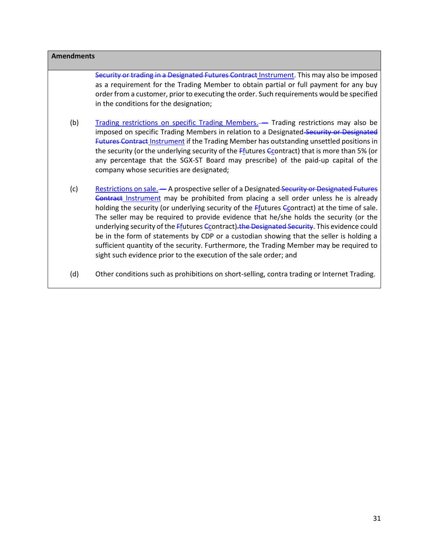| <b>Amendments</b> |                                                                                                                                                                                                                                                                                                                                                                                                                                                                                                                                                                                                                                                                                                                                         |  |
|-------------------|-----------------------------------------------------------------------------------------------------------------------------------------------------------------------------------------------------------------------------------------------------------------------------------------------------------------------------------------------------------------------------------------------------------------------------------------------------------------------------------------------------------------------------------------------------------------------------------------------------------------------------------------------------------------------------------------------------------------------------------------|--|
|                   | Security or trading in a Designated Futures Contract Instrument. This may also be imposed<br>as a requirement for the Trading Member to obtain partial or full payment for any buy<br>order from a customer, prior to executing the order. Such requirements would be specified<br>in the conditions for the designation;                                                                                                                                                                                                                                                                                                                                                                                                               |  |
| (b)               | Trading restrictions on specific Trading Members.— Trading restrictions may also be<br>imposed on specific Trading Members in relation to a Designated-Security or Designated<br>Futures Contract Instrument if the Trading Member has outstanding unsettled positions in<br>the security (or the underlying security of the Ffutures Econtract) that is more than 5% (or<br>any percentage that the SGX-ST Board may prescribe) of the paid-up capital of the<br>company whose securities are designated;                                                                                                                                                                                                                              |  |
| (c)               | Restrictions on sale. - A prospective seller of a Designated Security or Designated Futures<br>Contract Instrument may be prohibited from placing a sell order unless he is already<br>holding the security (or underlying security of the Ffutures Econtract) at the time of sale.<br>The seller may be required to provide evidence that he/she holds the security (or the<br>underlying security of the Ffutures Ccontract). the Designated Security. This evidence could<br>be in the form of statements by CDP or a custodian showing that the seller is holding a<br>sufficient quantity of the security. Furthermore, the Trading Member may be required to<br>sight such evidence prior to the execution of the sale order; and |  |
| (d)               | Other conditions such as prohibitions on short-selling, contra trading or Internet Trading.                                                                                                                                                                                                                                                                                                                                                                                                                                                                                                                                                                                                                                             |  |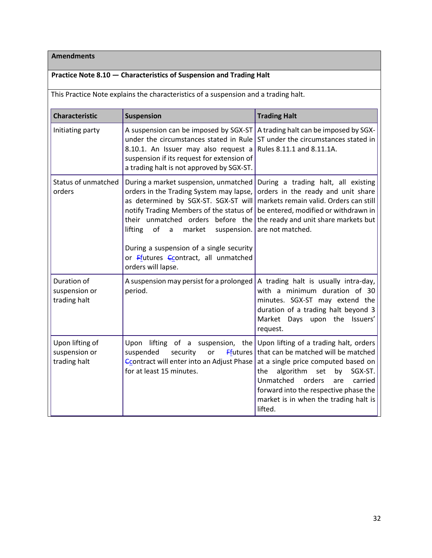# **Practice Note 8.10 — Characteristics of Suspension and Trading Halt**

This Practice Note explains the characteristics of a suspension and a trading halt.

| <b>Characteristic</b>                            | <b>Suspension</b>                                                                                                                                                                                                                                                                                                                                                 | <b>Trading Halt</b>                                                                                                                                                                                                                                                                                    |
|--------------------------------------------------|-------------------------------------------------------------------------------------------------------------------------------------------------------------------------------------------------------------------------------------------------------------------------------------------------------------------------------------------------------------------|--------------------------------------------------------------------------------------------------------------------------------------------------------------------------------------------------------------------------------------------------------------------------------------------------------|
| Initiating party                                 | A suspension can be imposed by SGX-ST<br>under the circumstances stated in Rule<br>8.10.1. An Issuer may also request a<br>suspension if its request for extension of<br>a trading halt is not approved by SGX-ST.                                                                                                                                                | A trading halt can be imposed by SGX-<br>ST under the circumstances stated in<br>Rules 8.11.1 and 8.11.1A.                                                                                                                                                                                             |
| Status of unmatched<br>orders                    | During a market suspension, unmatched<br>orders in the Trading System may lapse,<br>as determined by SGX-ST. SGX-ST will<br>notify Trading Members of the status of<br>their unmatched orders before the<br>of<br>lifting<br>market<br>suspension.<br>a<br>During a suspension of a single security<br>or Ffutures Ccontract, all unmatched<br>orders will lapse. | During a trading halt, all existing<br>orders in the ready and unit share<br>markets remain valid. Orders can still<br>be entered, modified or withdrawn in<br>the ready and unit share markets but<br>are not matched.                                                                                |
| Duration of<br>suspension or<br>trading halt     | A suspension may persist for a prolonged<br>period.                                                                                                                                                                                                                                                                                                               | A trading halt is usually intra-day,<br>with a minimum duration of 30<br>minutes. SGX-ST may extend the<br>duration of a trading halt beyond 3<br>Market Days upon the Issuers'<br>request.                                                                                                            |
| Upon lifting of<br>suspension or<br>trading halt | Upon lifting of a suspension, the<br>suspended<br>security<br>or<br><b>Ffutures</b><br>Ccontract will enter into an Adjust Phase<br>for at least 15 minutes.                                                                                                                                                                                                      | Upon lifting of a trading halt, orders<br>that can be matched will be matched<br>at a single price computed based on<br>algorithm<br>SGX-ST.<br>set<br>by<br>the<br>Unmatched<br>orders<br>carried<br>are<br>forward into the respective phase the<br>market is in when the trading halt is<br>lifted. |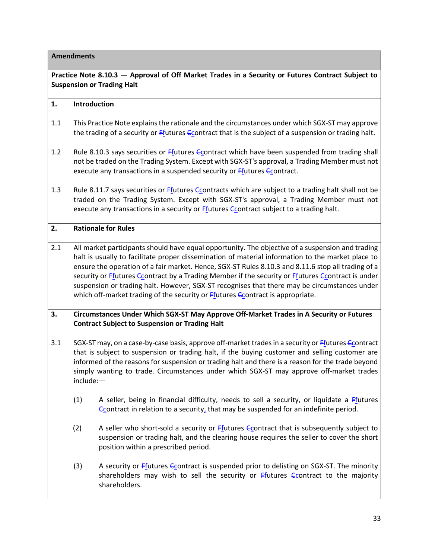| Practice Note 8.10.3 - Approval of Off Market Trades in a Security or Futures Contract Subject to<br><b>Suspension or Trading Halt</b> |                                                                                                                                                  |                                                                                                                                                                                                                                                                                                                                                                                                                                                                                                                                                                                                           |
|----------------------------------------------------------------------------------------------------------------------------------------|--------------------------------------------------------------------------------------------------------------------------------------------------|-----------------------------------------------------------------------------------------------------------------------------------------------------------------------------------------------------------------------------------------------------------------------------------------------------------------------------------------------------------------------------------------------------------------------------------------------------------------------------------------------------------------------------------------------------------------------------------------------------------|
| 1.                                                                                                                                     | Introduction                                                                                                                                     |                                                                                                                                                                                                                                                                                                                                                                                                                                                                                                                                                                                                           |
| 1.1                                                                                                                                    |                                                                                                                                                  | This Practice Note explains the rationale and the circumstances under which SGX-ST may approve<br>the trading of a security or Ffutures Econtract that is the subject of a suspension or trading halt.                                                                                                                                                                                                                                                                                                                                                                                                    |
| 1.2                                                                                                                                    |                                                                                                                                                  | Rule 8.10.3 says securities or Ffutures Econtract which have been suspended from trading shall<br>not be traded on the Trading System. Except with SGX-ST's approval, a Trading Member must not<br>execute any transactions in a suspended security or Ffutures Ccontract.                                                                                                                                                                                                                                                                                                                                |
| 1.3                                                                                                                                    |                                                                                                                                                  | Rule 8.11.7 says securities or Ffutures Ccontracts which are subject to a trading halt shall not be<br>traded on the Trading System. Except with SGX-ST's approval, a Trading Member must not<br>execute any transactions in a security or Ffutures Econtract subject to a trading halt.                                                                                                                                                                                                                                                                                                                  |
| 2.                                                                                                                                     |                                                                                                                                                  | <b>Rationale for Rules</b>                                                                                                                                                                                                                                                                                                                                                                                                                                                                                                                                                                                |
| 2.1                                                                                                                                    |                                                                                                                                                  | All market participants should have equal opportunity. The objective of a suspension and trading<br>halt is usually to facilitate proper dissemination of material information to the market place to<br>ensure the operation of a fair market. Hence, SGX-ST Rules 8.10.3 and 8.11.6 stop all trading of a<br>security or Ffutures Ccontract by a Trading Member if the security or Ffutures Ccontract is under<br>suspension or trading halt. However, SGX-ST recognises that there may be circumstances under<br>which off-market trading of the security or <b>Ffutures Ccontract</b> is appropriate. |
| 3.                                                                                                                                     | Circumstances Under Which SGX-ST May Approve Off-Market Trades in A Security or Futures<br><b>Contract Subject to Suspension or Trading Halt</b> |                                                                                                                                                                                                                                                                                                                                                                                                                                                                                                                                                                                                           |
| 3.1                                                                                                                                    | include:-                                                                                                                                        | SGX-ST may, on a case-by-case basis, approve off-market trades in a security or Ffutures Ccontract<br>that is subject to suspension or trading halt, if the buying customer and selling customer are<br>informed of the reasons for suspension or trading halt and there is a reason for the trade beyond<br>simply wanting to trade. Circumstances under which SGX-ST may approve off-market trades                                                                                                                                                                                                      |
|                                                                                                                                        | (1)                                                                                                                                              | A seller, being in financial difficulty, needs to sell a security, or liquidate a Ffutures<br>$\epsilon$ Contract in relation to a security, that may be suspended for an indefinite period.                                                                                                                                                                                                                                                                                                                                                                                                              |
|                                                                                                                                        | (2)                                                                                                                                              | A seller who short-sold a security or $F_1$ tutures C contract that is subsequently subject to<br>suspension or trading halt, and the clearing house requires the seller to cover the short<br>position within a prescribed period.                                                                                                                                                                                                                                                                                                                                                                       |
|                                                                                                                                        | (3)                                                                                                                                              | A security or Ffutures Ccontract is suspended prior to delisting on SGX-ST. The minority<br>shareholders may wish to sell the security or Ffutures Ccontract to the majority<br>shareholders.                                                                                                                                                                                                                                                                                                                                                                                                             |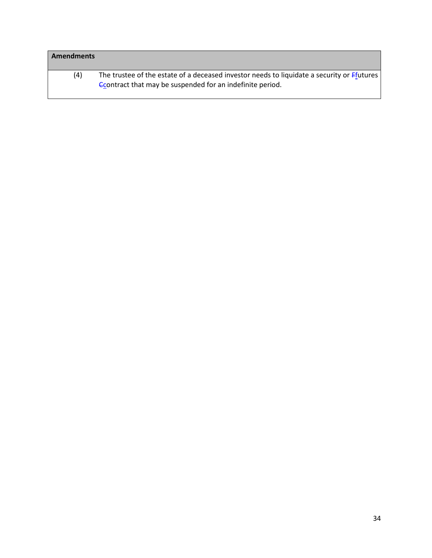| <b>Amendments</b> |                                                                                                                                                        |
|-------------------|--------------------------------------------------------------------------------------------------------------------------------------------------------|
| (4)               | The trustee of the estate of a deceased investor needs to liquidate a security or Ffutures<br>Contract that may be suspended for an indefinite period. |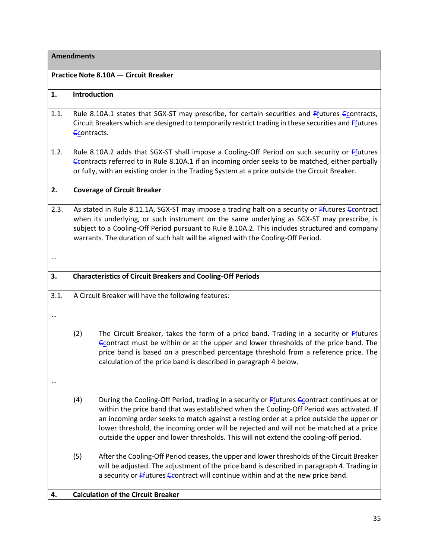|          | <b>Amendments</b>                                                                                                                                                                                                                                                                                                                                                                   |                                                                                                                                                                                                                                                                                                                                                                                                                                                                       |  |  |
|----------|-------------------------------------------------------------------------------------------------------------------------------------------------------------------------------------------------------------------------------------------------------------------------------------------------------------------------------------------------------------------------------------|-----------------------------------------------------------------------------------------------------------------------------------------------------------------------------------------------------------------------------------------------------------------------------------------------------------------------------------------------------------------------------------------------------------------------------------------------------------------------|--|--|
|          |                                                                                                                                                                                                                                                                                                                                                                                     | Practice Note 8.10A - Circuit Breaker                                                                                                                                                                                                                                                                                                                                                                                                                                 |  |  |
| 1.       | Introduction                                                                                                                                                                                                                                                                                                                                                                        |                                                                                                                                                                                                                                                                                                                                                                                                                                                                       |  |  |
| 1.1.     | Rule 8.10A.1 states that SGX-ST may prescribe, for certain securities and Ffutures Ccontracts,<br>Circuit Breakers which are designed to temporarily restrict trading in these securities and <i>Ffutures</i><br>Ccontracts.                                                                                                                                                        |                                                                                                                                                                                                                                                                                                                                                                                                                                                                       |  |  |
| 1.2.     |                                                                                                                                                                                                                                                                                                                                                                                     | Rule 8.10A.2 adds that SGX-ST shall impose a Cooling-Off Period on such security or Ffutures<br>Econtracts referred to in Rule 8.10A.1 if an incoming order seeks to be matched, either partially<br>or fully, with an existing order in the Trading System at a price outside the Circuit Breaker.                                                                                                                                                                   |  |  |
| 2.       |                                                                                                                                                                                                                                                                                                                                                                                     | <b>Coverage of Circuit Breaker</b>                                                                                                                                                                                                                                                                                                                                                                                                                                    |  |  |
| 2.3.     | As stated in Rule 8.11.1A, SGX-ST may impose a trading halt on a security or Ffutures Ccontract<br>when its underlying, or such instrument on the same underlying as SGX-ST may prescribe, is<br>subject to a Cooling-Off Period pursuant to Rule 8.10A.2. This includes structured and company<br>warrants. The duration of such halt will be aligned with the Cooling-Off Period. |                                                                                                                                                                                                                                                                                                                                                                                                                                                                       |  |  |
| $\cdots$ |                                                                                                                                                                                                                                                                                                                                                                                     |                                                                                                                                                                                                                                                                                                                                                                                                                                                                       |  |  |
| 3.       | <b>Characteristics of Circuit Breakers and Cooling-Off Periods</b>                                                                                                                                                                                                                                                                                                                  |                                                                                                                                                                                                                                                                                                                                                                                                                                                                       |  |  |
| 3.1.     |                                                                                                                                                                                                                                                                                                                                                                                     | A Circuit Breaker will have the following features:                                                                                                                                                                                                                                                                                                                                                                                                                   |  |  |
|          | (2)                                                                                                                                                                                                                                                                                                                                                                                 | The Circuit Breaker, takes the form of a price band. Trading in a security or Ffutures<br>Ccontract must be within or at the upper and lower thresholds of the price band. The<br>price band is based on a prescribed percentage threshold from a reference price. The<br>calculation of the price band is described in paragraph 4 below.                                                                                                                            |  |  |
|          | (4)                                                                                                                                                                                                                                                                                                                                                                                 | During the Cooling-Off Period, trading in a security or Ffutures Econtract continues at or<br>within the price band that was established when the Cooling-Off Period was activated. If<br>an incoming order seeks to match against a resting order at a price outside the upper or<br>lower threshold, the incoming order will be rejected and will not be matched at a price<br>outside the upper and lower thresholds. This will not extend the cooling-off period. |  |  |
|          | (5)                                                                                                                                                                                                                                                                                                                                                                                 | After the Cooling-Off Period ceases, the upper and lower thresholds of the Circuit Breaker<br>will be adjusted. The adjustment of the price band is described in paragraph 4. Trading in<br>a security or <i>Efutures C</i> contract will continue within and at the new price band.                                                                                                                                                                                  |  |  |
| 4.       |                                                                                                                                                                                                                                                                                                                                                                                     | <b>Calculation of the Circuit Breaker</b>                                                                                                                                                                                                                                                                                                                                                                                                                             |  |  |
|          |                                                                                                                                                                                                                                                                                                                                                                                     |                                                                                                                                                                                                                                                                                                                                                                                                                                                                       |  |  |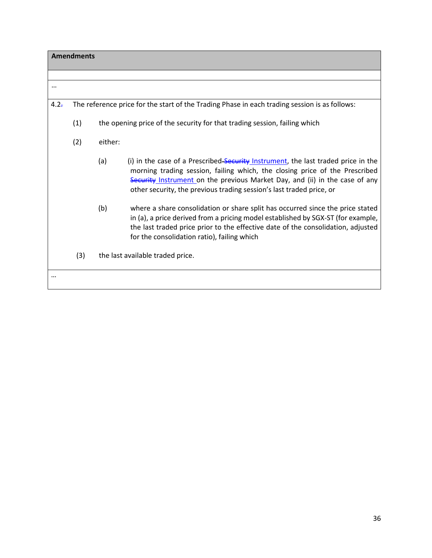| <b>Amendments</b> |     |                                                                                                                                                                                                                                                                                                                                |
|-------------------|-----|--------------------------------------------------------------------------------------------------------------------------------------------------------------------------------------------------------------------------------------------------------------------------------------------------------------------------------|
|                   |     |                                                                                                                                                                                                                                                                                                                                |
| $\cdots$          |     |                                                                                                                                                                                                                                                                                                                                |
| $4.2 -$           |     | The reference price for the start of the Trading Phase in each trading session is as follows:                                                                                                                                                                                                                                  |
|                   | (1) | the opening price of the security for that trading session, failing which                                                                                                                                                                                                                                                      |
|                   | (2) | either:                                                                                                                                                                                                                                                                                                                        |
|                   |     | (i) in the case of a Prescribed-Security Instrument, the last traded price in the<br>(a)<br>morning trading session, failing which, the closing price of the Prescribed<br>Security Instrument on the previous Market Day, and (ii) in the case of any<br>other security, the previous trading session's last traded price, or |
|                   |     | (b)<br>where a share consolidation or share split has occurred since the price stated<br>in (a), a price derived from a pricing model established by SGX-ST (for example,<br>the last traded price prior to the effective date of the consolidation, adjusted<br>for the consolidation ratio), failing which                   |
|                   | (3) | the last available traded price.                                                                                                                                                                                                                                                                                               |
|                   |     |                                                                                                                                                                                                                                                                                                                                |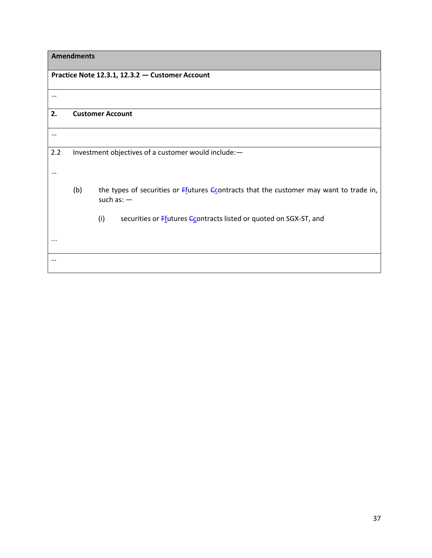| Practice Note 12.3.1, 12.3.2 - Customer Account |     |                                                                                                        |
|-------------------------------------------------|-----|--------------------------------------------------------------------------------------------------------|
| $\cdots$                                        |     |                                                                                                        |
| 2.                                              |     | <b>Customer Account</b>                                                                                |
| $\cdots$                                        |     |                                                                                                        |
| 2.2<br>$\cdots$                                 |     | Investment objectives of a customer would include:-                                                    |
|                                                 | (b) | the types of securities or Ffutures Ccontracts that the customer may want to trade in,<br>such as: $-$ |
|                                                 |     | (i)<br>securities or Ffutures Econtracts listed or quoted on SGX-ST, and                               |
|                                                 |     |                                                                                                        |
|                                                 |     |                                                                                                        |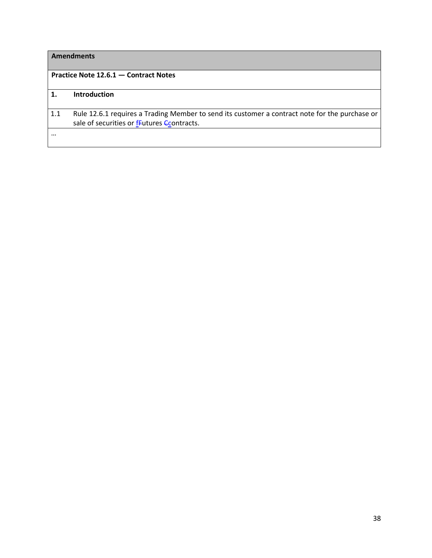|     | <b>Amendments</b>                                                                                                                            |
|-----|----------------------------------------------------------------------------------------------------------------------------------------------|
|     | Practice Note 12.6.1 - Contract Notes                                                                                                        |
| 1.  | <b>Introduction</b>                                                                                                                          |
| 1.1 | Rule 12.6.1 requires a Trading Member to send its customer a contract note for the purchase or<br>sale of securities or fFutures Ccontracts. |
|     |                                                                                                                                              |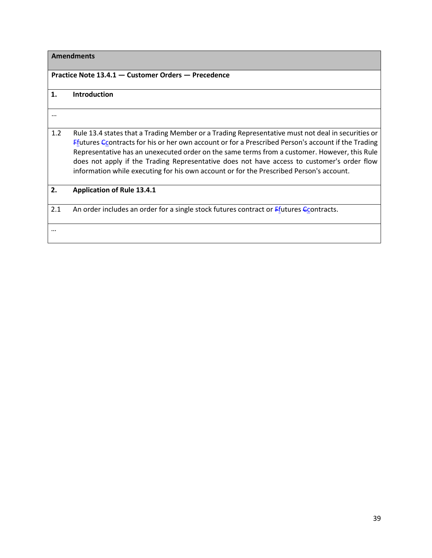#### **Practice Note 13.4.1 — Customer Orders — Precedence**

## **1. Introduction**

| 1.2 | Rule 13.4 states that a Trading Member or a Trading Representative must not deal in securities or  |
|-----|----------------------------------------------------------------------------------------------------|
|     | Ffutures Econtracts for his or her own account or for a Prescribed Person's account if the Trading |
|     | Representative has an unexecuted order on the same terms from a customer. However, this Rule       |
|     | does not apply if the Trading Representative does not have access to customer's order flow         |
|     | information while executing for his own account or for the Prescribed Person's account.            |

#### **2. Application of Rule 13.4.1**

2.1 An order includes an order for a single stock futures contract or  $F_1$ utures  $C_2$ ontracts.

…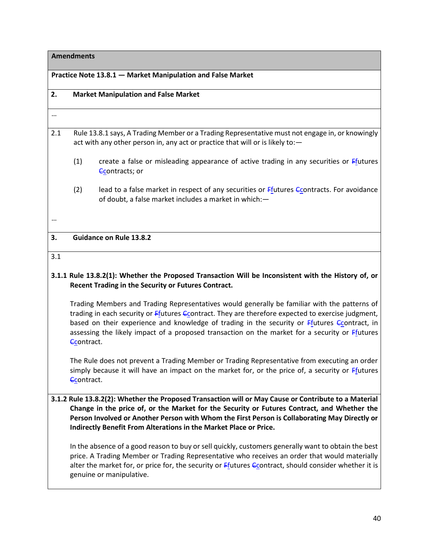## **Practice Note 13.8.1 — Market Manipulation and False Market**

| 2.       |            | <b>Market Manipulation and False Market</b>                                                                                                                                                                                                                                                                                                                                                                 |
|----------|------------|-------------------------------------------------------------------------------------------------------------------------------------------------------------------------------------------------------------------------------------------------------------------------------------------------------------------------------------------------------------------------------------------------------------|
| $\cdots$ |            |                                                                                                                                                                                                                                                                                                                                                                                                             |
| 2.1      |            | Rule 13.8.1 says, A Trading Member or a Trading Representative must not engage in, or knowingly<br>act with any other person in, any act or practice that will or is likely to:-                                                                                                                                                                                                                            |
|          | (1)        | create a false or misleading appearance of active trading in any securities or Ffutures<br>Ccontracts; or                                                                                                                                                                                                                                                                                                   |
|          | (2)        | lead to a false market in respect of any securities or Ffutures Econtracts. For avoidance<br>of doubt, a false market includes a market in which:-                                                                                                                                                                                                                                                          |
|          |            |                                                                                                                                                                                                                                                                                                                                                                                                             |
| 3.       |            | <b>Guidance on Rule 13.8.2</b>                                                                                                                                                                                                                                                                                                                                                                              |
| 3.1      |            |                                                                                                                                                                                                                                                                                                                                                                                                             |
|          |            | 3.1.1 Rule 13.8.2(1): Whether the Proposed Transaction Will be Inconsistent with the History of, or<br>Recent Trading in the Security or Futures Contract.                                                                                                                                                                                                                                                  |
|          | Econtract. | Trading Members and Trading Representatives would generally be familiar with the patterns of<br>trading in each security or <i>Efutures C</i> contract. They are therefore expected to exercise judgment,<br>based on their experience and knowledge of trading in the security or Ffutures Econtract, in<br>assessing the likely impact of a proposed transaction on the market for a security or Ffutures |
|          | Ccontract. | The Rule does not prevent a Trading Member or Trading Representative from executing an order<br>simply because it will have an impact on the market for, or the price of, a security or $F_1$ tutures                                                                                                                                                                                                       |
|          |            | 3.1.2 Rule 13.8.2(2): Whether the Proposed Transaction will or May Cause or Contribute to a Material<br>Change in the price of, or the Market for the Security or Futures Contract, and Whether the<br>Person Involved or Another Person with Whom the First Person is Collaborating May Directly or<br>Indirectly Benefit From Alterations in the Market Place or Price.                                   |
|          |            | In the absence of a good reason to buy or sell quickly, customers generally want to obtain the best                                                                                                                                                                                                                                                                                                         |

In the absence of a good reason to buy or sell quickly, customers generally want to obtain the best price. A Trading Member or Trading Representative who receives an order that would materially alter the market for, or price for, the security or Ffutures  $C_{\text{C}}$ ontract, should consider whether it is genuine or manipulative.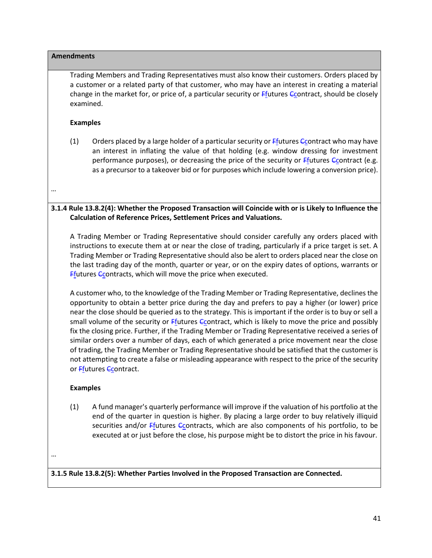# **Amendments** Trading Members and Trading Representatives must also know their customers. Orders placed by a customer or a related party of that customer, who may have an interest in creating a material change in the market for, or price of, a particular security or Ffutures Ccontract, should be closely examined. **Examples** (1) Orders placed by a large holder of a particular security or  $F$ futures  $G$  Contract who may have an interest in inflating the value of that holding (e.g. window dressing for investment performance purposes), or decreasing the price of the security or  $F$ futures Ccontract (e.g. as a precursor to a takeover bid or for purposes which include lowering a conversion price). … **3.1.4 Rule 13.8.2(4): Whether the Proposed Transaction will Coincide with or is Likely to Influence the Calculation of Reference Prices, Settlement Prices and Valuations.** A Trading Member or Trading Representative should consider carefully any orders placed with instructions to execute them at or near the close of trading, particularly if a price target is set. A Trading Member or Trading Representative should also be alert to orders placed near the close on the last trading day of the month, quarter or year, or on the expiry dates of options, warrants or **F**futures Ccontracts, which will move the price when executed. A customer who, to the knowledge of the Trading Member or Trading Representative, declines the opportunity to obtain a better price during the day and prefers to pay a higher (or lower) price near the close should be queried as to the strategy. This is important if the order is to buy or sell a small volume of the security or  $F$ futures  $C$ contract, which is likely to move the price and possibly fix the closing price. Further, if the Trading Member or Trading Representative received a series of similar orders over a number of days, each of which generated a price movement near the close of trading, the Trading Member or Trading Representative should be satisfied that the customer is not attempting to create a false or misleading appearance with respect to the price of the security or Ffutures Ccontract. **Examples**

(1) A fund manager's quarterly performance will improve if the valuation of his portfolio at the end of the quarter in question is higher. By placing a large order to buy relatively illiquid securities and/or Ffutures Ccontracts, which are also components of his portfolio, to be executed at or just before the close, his purpose might be to distort the price in his favour.

…

**3.1.5 Rule 13.8.2(5): Whether Parties Involved in the Proposed Transaction are Connected.**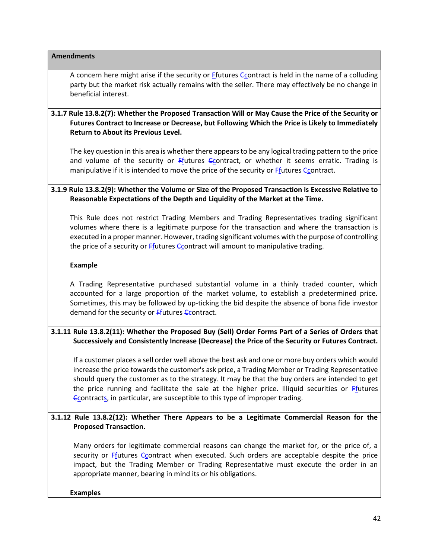A concern here might arise if the security or *Efutures* Contract is held in the name of a colluding party but the market risk actually remains with the seller. There may effectively be no change in beneficial interest.

### **3.1.7 Rule 13.8.2(7): Whether the Proposed Transaction Will or May Cause the Price of the Security or Futures Contract to Increase or Decrease, but Following Which the Price is Likely to Immediately Return to About its Previous Level.**

The key question in this area is whether there appears to be any logical trading pattern to the price and volume of the security or  $F_1$  tures  $F_2$  contract, or whether it seems erratic. Trading is manipulative if it is intended to move the price of the security or  $Ff$  tutures  $G$  contract.

## **3.1.9 Rule 13.8.2(9): Whether the Volume or Size of the Proposed Transaction is Excessive Relative to Reasonable Expectations of the Depth and Liquidity of the Market at the Time.**

This Rule does not restrict Trading Members and Trading Representatives trading significant volumes where there is a legitimate purpose for the transaction and where the transaction is executed in a proper manner. However, trading significant volumes with the purpose of controlling the price of a security or  $F_1$  tures  $C_2$  contract will amount to manipulative trading.

#### **Example**

A Trading Representative purchased substantial volume in a thinly traded counter, which accounted for a large proportion of the market volume, to establish a predetermined price. Sometimes, this may be followed by up-ticking the bid despite the absence of bona fide investor demand for the security or  $F_{\text{f}}$ utures  $F_{\text{f}}$ contract.

#### **3.1.11 Rule 13.8.2(11): Whether the Proposed Buy (Sell) Order Forms Part of a Series of Orders that Successively and Consistently Increase (Decrease) the Price of the Security or Futures Contract.**

If a customer places a sell order well above the best ask and one or more buy orders which would increase the price towards the customer's ask price, a Trading Member or Trading Representative should query the customer as to the strategy. It may be that the buy orders are intended to get the price running and facilitate the sale at the higher price. Illiquid securities or Ffutures Econtracts, in particular, are susceptible to this type of improper trading.

## **3.1.12 Rule 13.8.2(12): Whether There Appears to be a Legitimate Commercial Reason for the Proposed Transaction.**

Many orders for legitimate commercial reasons can change the market for, or the price of, a security or Ffutures Coontract when executed. Such orders are acceptable despite the price impact, but the Trading Member or Trading Representative must execute the order in an appropriate manner, bearing in mind its or his obligations.

#### **Examples**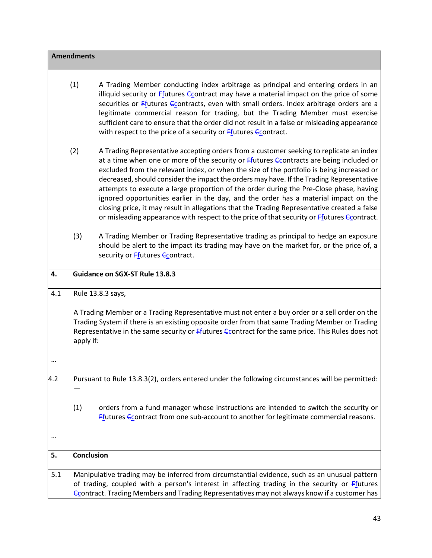|     | <b>Amendments</b> |                                                                                                                                                                                                                                                                                                                                                                                                                                                                                                                                                                                                                                                                                                                                                                                             |
|-----|-------------------|---------------------------------------------------------------------------------------------------------------------------------------------------------------------------------------------------------------------------------------------------------------------------------------------------------------------------------------------------------------------------------------------------------------------------------------------------------------------------------------------------------------------------------------------------------------------------------------------------------------------------------------------------------------------------------------------------------------------------------------------------------------------------------------------|
|     | (1)               | A Trading Member conducting index arbitrage as principal and entering orders in an<br>illiquid security or Ffutures <i>Econtract</i> may have a material impact on the price of some<br>securities or Ffutures Ccontracts, even with small orders. Index arbitrage orders are a<br>legitimate commercial reason for trading, but the Trading Member must exercise<br>sufficient care to ensure that the order did not result in a false or misleading appearance<br>with respect to the price of a security or $Ff$ <sub>1</sub> tutures $Ff$ <sub>2</sub> contract.                                                                                                                                                                                                                        |
|     | (2)               | A Trading Representative accepting orders from a customer seeking to replicate an index<br>at a time when one or more of the security or $Ff$ <sub>1</sub> tutures $G$ <sub>2</sub> contracts are being included or<br>excluded from the relevant index, or when the size of the portfolio is being increased or<br>decreased, should consider the impact the orders may have. If the Trading Representative<br>attempts to execute a large proportion of the order during the Pre-Close phase, having<br>ignored opportunities earlier in the day, and the order has a material impact on the<br>closing price, it may result in allegations that the Trading Representative created a false<br>or misleading appearance with respect to the price of that security or Ffutures Econtract. |
|     | (3)               | A Trading Member or Trading Representative trading as principal to hedge an exposure<br>should be alert to the impact its trading may have on the market for, or the price of, a<br>security or Ffutures Ccontract.                                                                                                                                                                                                                                                                                                                                                                                                                                                                                                                                                                         |
| 4.  |                   | Guidance on SGX-ST Rule 13.8.3                                                                                                                                                                                                                                                                                                                                                                                                                                                                                                                                                                                                                                                                                                                                                              |
| 4.1 | apply if:         | Rule 13.8.3 says,<br>A Trading Member or a Trading Representative must not enter a buy order or a sell order on the<br>Trading System if there is an existing opposite order from that same Trading Member or Trading<br>Representative in the same security or Ffutures Econtract for the same price. This Rules does not                                                                                                                                                                                                                                                                                                                                                                                                                                                                  |
|     |                   |                                                                                                                                                                                                                                                                                                                                                                                                                                                                                                                                                                                                                                                                                                                                                                                             |
| 4.2 |                   | Pursuant to Rule 13.8.3(2), orders entered under the following circumstances will be permitted:                                                                                                                                                                                                                                                                                                                                                                                                                                                                                                                                                                                                                                                                                             |
|     | (1)               | orders from a fund manager whose instructions are intended to switch the security or<br><b>Ffutures Econtract from one sub-account to another for legitimate commercial reasons.</b>                                                                                                                                                                                                                                                                                                                                                                                                                                                                                                                                                                                                        |
|     |                   |                                                                                                                                                                                                                                                                                                                                                                                                                                                                                                                                                                                                                                                                                                                                                                                             |
| 5.  | Conclusion        |                                                                                                                                                                                                                                                                                                                                                                                                                                                                                                                                                                                                                                                                                                                                                                                             |
| 5.1 |                   | Manipulative trading may be inferred from circumstantial evidence, such as an unusual pattern<br>of trading, coupled with a person's interest in affecting trading in the security or Ffutures<br><b>Contract. Trading Members and Trading Representatives may not always know if a customer has</b>                                                                                                                                                                                                                                                                                                                                                                                                                                                                                        |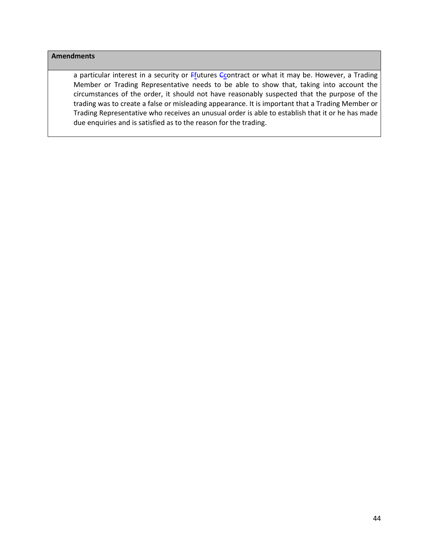a particular interest in a security or  $Ff$ <sub>1</sub> tutures  $Ff$ <sub>2</sub> contract or what it may be. However, a Trading Member or Trading Representative needs to be able to show that, taking into account the circumstances of the order, it should not have reasonably suspected that the purpose of the trading was to create a false or misleading appearance. It is important that a Trading Member or Trading Representative who receives an unusual order is able to establish that it or he has made due enquiries and is satisfied as to the reason for the trading.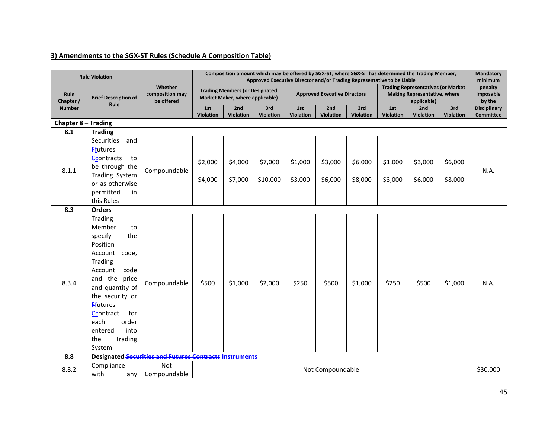## **3) Amendments to the SGX-ST Rules (Schedule A Composition Table)**

|                     | <b>Rule Violation</b>                                                                                                                                                                                                                                                       |                                                                | Composition amount which may be offered by SGX-ST, where SGX-ST has determined the Trading Member,<br>Approved Executive Director and/or Trading Representative to be Liable |                                                                          |                         |                         |                                     |                         |                         |                                                                                                 |                         |                                         |
|---------------------|-----------------------------------------------------------------------------------------------------------------------------------------------------------------------------------------------------------------------------------------------------------------------------|----------------------------------------------------------------|------------------------------------------------------------------------------------------------------------------------------------------------------------------------------|--------------------------------------------------------------------------|-------------------------|-------------------------|-------------------------------------|-------------------------|-------------------------|-------------------------------------------------------------------------------------------------|-------------------------|-----------------------------------------|
| Rule<br>Chapter /   | <b>Brief Description of</b>                                                                                                                                                                                                                                                 | Whether<br>composition may<br>be offered                       |                                                                                                                                                                              | <b>Trading Members (or Designated</b><br>Market Maker, where applicable) |                         |                         | <b>Approved Executive Directors</b> |                         |                         | <b>Trading Representatives (or Market</b><br><b>Making Representative, where</b><br>applicable) |                         | penalty<br>imposable<br>by the          |
| <b>Number</b>       | Rule                                                                                                                                                                                                                                                                        |                                                                | 1st<br><b>Violation</b>                                                                                                                                                      | 2nd<br><b>Violation</b>                                                  | 3rd<br><b>Violation</b> | 1st<br><b>Violation</b> | 2nd<br><b>Violation</b>             | 3rd<br><b>Violation</b> | 1st<br><b>Violation</b> | 2nd<br><b>Violation</b>                                                                         | 3rd<br><b>Violation</b> | <b>Disciplinary</b><br><b>Committee</b> |
| Chapter 8 - Trading |                                                                                                                                                                                                                                                                             |                                                                |                                                                                                                                                                              |                                                                          |                         |                         |                                     |                         |                         |                                                                                                 |                         |                                         |
| 8.1                 | <b>Trading</b>                                                                                                                                                                                                                                                              |                                                                |                                                                                                                                                                              |                                                                          |                         |                         |                                     |                         |                         |                                                                                                 |                         |                                         |
|                     | Securities<br>and<br><b>Ffutures</b>                                                                                                                                                                                                                                        |                                                                |                                                                                                                                                                              |                                                                          |                         |                         |                                     |                         |                         |                                                                                                 |                         |                                         |
| 8.1.1               | <b>Contracts</b><br>to<br>be through the                                                                                                                                                                                                                                    | Compoundable                                                   | \$2,000                                                                                                                                                                      | \$4,000                                                                  | \$7,000                 | \$1,000                 | \$3,000                             | \$6,000                 | \$1,000                 | \$3,000                                                                                         | \$6,000                 | N.A.                                    |
|                     | Trading System<br>or as otherwise<br>permitted<br>in                                                                                                                                                                                                                        |                                                                | \$4,000                                                                                                                                                                      | \$7,000                                                                  | \$10,000                | \$3,000                 | \$6,000                             | \$8,000                 | \$3,000                 | \$6,000                                                                                         | \$8,000                 |                                         |
|                     | this Rules                                                                                                                                                                                                                                                                  |                                                                |                                                                                                                                                                              |                                                                          |                         |                         |                                     |                         |                         |                                                                                                 |                         |                                         |
| 8.3                 | <b>Orders</b>                                                                                                                                                                                                                                                               |                                                                |                                                                                                                                                                              |                                                                          |                         |                         |                                     |                         |                         |                                                                                                 |                         |                                         |
| 8.3.4               | Trading<br>Member<br>to<br>specify<br>the<br>Position<br>Account<br>code,<br>Trading<br>Account<br>code<br>and the price<br>and quantity of<br>the security or<br><b>Ffutures</b><br>for<br><b>Contract</b><br>each<br>order<br>entered<br>into<br>Trading<br>the<br>System | Compoundable                                                   | \$500                                                                                                                                                                        | \$1,000                                                                  | \$2,000                 | \$250                   | \$500                               | \$1,000                 | \$250                   | \$500                                                                                           | \$1,000                 | N.A.                                    |
| 8.8                 |                                                                                                                                                                                                                                                                             | <b>Designated-Securities and Futures Contracts Instruments</b> |                                                                                                                                                                              |                                                                          |                         |                         |                                     |                         |                         |                                                                                                 |                         |                                         |
| 8.8.2               | Compliance<br>with<br>any                                                                                                                                                                                                                                                   | <b>Not</b><br>Compoundable                                     |                                                                                                                                                                              |                                                                          |                         |                         | Not Compoundable                    |                         |                         |                                                                                                 |                         | \$30,000                                |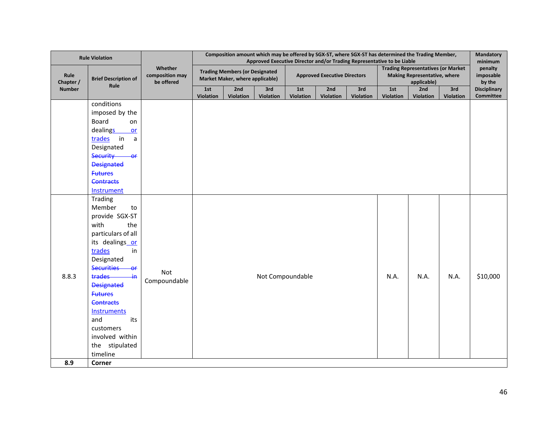|                   | <b>Rule Violation</b>       |                                          | Composition amount which may be offered by SGX-ST, where SGX-ST has determined the Trading Member,<br>Approved Executive Director and/or Trading Representative to be Liable |                                                                          |           |                  |                                     |           |           |                                                                                                 |           |                                           |  |
|-------------------|-----------------------------|------------------------------------------|------------------------------------------------------------------------------------------------------------------------------------------------------------------------------|--------------------------------------------------------------------------|-----------|------------------|-------------------------------------|-----------|-----------|-------------------------------------------------------------------------------------------------|-----------|-------------------------------------------|--|
| Rule<br>Chapter / | <b>Brief Description of</b> | Whether<br>composition may<br>be offered |                                                                                                                                                                              | <b>Trading Members (or Designated</b><br>Market Maker, where applicable) |           |                  | <b>Approved Executive Directors</b> |           |           | <b>Trading Representatives (or Market</b><br><b>Making Representative, where</b><br>applicable) |           | minimum<br>penalty<br>imposable<br>by the |  |
| <b>Number</b>     | Rule                        |                                          | 1st                                                                                                                                                                          | 2nd                                                                      | 3rd       | 1st              | 2nd                                 | 3rd       | 1st       | 2nd                                                                                             | 3rd       | <b>Disciplinary</b>                       |  |
|                   |                             |                                          | Violation                                                                                                                                                                    | Violation                                                                | Violation | Violation        | Violation                           | Violation | Violation | Violation                                                                                       | Violation | <b>Committee</b>                          |  |
|                   | conditions                  |                                          |                                                                                                                                                                              |                                                                          |           |                  |                                     |           |           |                                                                                                 |           |                                           |  |
|                   | imposed by the              |                                          |                                                                                                                                                                              |                                                                          |           |                  |                                     |           |           |                                                                                                 |           |                                           |  |
|                   | Board<br>on                 |                                          |                                                                                                                                                                              |                                                                          |           |                  |                                     |           |           |                                                                                                 |           |                                           |  |
|                   | dealings<br>or              |                                          |                                                                                                                                                                              |                                                                          |           |                  |                                     |           |           |                                                                                                 |           |                                           |  |
|                   | trades<br>in<br>a           |                                          |                                                                                                                                                                              |                                                                          |           |                  |                                     |           |           |                                                                                                 |           |                                           |  |
|                   | Designated                  |                                          |                                                                                                                                                                              |                                                                          |           |                  |                                     |           |           |                                                                                                 |           |                                           |  |
|                   | <b>Security</b><br>$-0f$    |                                          |                                                                                                                                                                              |                                                                          |           |                  |                                     |           |           |                                                                                                 |           |                                           |  |
|                   | <b>Designated</b>           |                                          |                                                                                                                                                                              |                                                                          |           |                  |                                     |           |           |                                                                                                 |           |                                           |  |
|                   | <b>Futures</b>              |                                          |                                                                                                                                                                              |                                                                          |           |                  |                                     |           |           |                                                                                                 |           |                                           |  |
|                   | <b>Contracts</b>            |                                          |                                                                                                                                                                              |                                                                          |           |                  |                                     |           |           |                                                                                                 |           |                                           |  |
|                   | Instrument                  |                                          |                                                                                                                                                                              |                                                                          |           |                  |                                     |           |           |                                                                                                 |           |                                           |  |
|                   | Trading                     |                                          |                                                                                                                                                                              |                                                                          |           |                  |                                     |           |           |                                                                                                 |           |                                           |  |
|                   | Member<br>to                |                                          |                                                                                                                                                                              |                                                                          |           |                  |                                     |           |           |                                                                                                 |           |                                           |  |
|                   | provide SGX-ST              |                                          |                                                                                                                                                                              |                                                                          |           |                  |                                     |           |           |                                                                                                 |           |                                           |  |
|                   | with<br>the                 |                                          |                                                                                                                                                                              |                                                                          |           |                  |                                     |           |           |                                                                                                 |           |                                           |  |
|                   | particulars of all          |                                          |                                                                                                                                                                              |                                                                          |           |                  |                                     |           |           |                                                                                                 |           |                                           |  |
|                   | its dealings or             |                                          |                                                                                                                                                                              |                                                                          |           |                  |                                     |           |           |                                                                                                 |           |                                           |  |
|                   | trades<br>in                |                                          |                                                                                                                                                                              |                                                                          |           |                  |                                     |           |           |                                                                                                 |           |                                           |  |
|                   | Designated                  |                                          |                                                                                                                                                                              |                                                                          |           |                  |                                     |           |           |                                                                                                 |           |                                           |  |
|                   | <b>Securities</b><br>₩      | Not                                      |                                                                                                                                                                              |                                                                          |           |                  |                                     |           |           |                                                                                                 |           |                                           |  |
| 8.8.3             | trades<br><del>iη</del>     | Compoundable                             |                                                                                                                                                                              |                                                                          |           | Not Compoundable |                                     |           | N.A.      | N.A.                                                                                            | N.A.      | \$10,000                                  |  |
|                   | <b>Designated</b>           |                                          |                                                                                                                                                                              |                                                                          |           |                  |                                     |           |           |                                                                                                 |           |                                           |  |
|                   | <b>Futures</b>              |                                          |                                                                                                                                                                              |                                                                          |           |                  |                                     |           |           |                                                                                                 |           |                                           |  |
|                   | <b>Contracts</b>            |                                          |                                                                                                                                                                              |                                                                          |           |                  |                                     |           |           |                                                                                                 |           |                                           |  |
|                   | <b>Instruments</b>          |                                          |                                                                                                                                                                              |                                                                          |           |                  |                                     |           |           |                                                                                                 |           |                                           |  |
|                   | and<br>its                  |                                          |                                                                                                                                                                              |                                                                          |           |                  |                                     |           |           |                                                                                                 |           |                                           |  |
|                   | customers                   |                                          |                                                                                                                                                                              |                                                                          |           |                  |                                     |           |           |                                                                                                 |           |                                           |  |
|                   | involved within             |                                          |                                                                                                                                                                              |                                                                          |           |                  |                                     |           |           |                                                                                                 |           |                                           |  |
|                   | the stipulated              |                                          |                                                                                                                                                                              |                                                                          |           |                  |                                     |           |           |                                                                                                 |           |                                           |  |
|                   | timeline                    |                                          |                                                                                                                                                                              |                                                                          |           |                  |                                     |           |           |                                                                                                 |           |                                           |  |
| 8.9               | Corner                      |                                          |                                                                                                                                                                              |                                                                          |           |                  |                                     |           |           |                                                                                                 |           |                                           |  |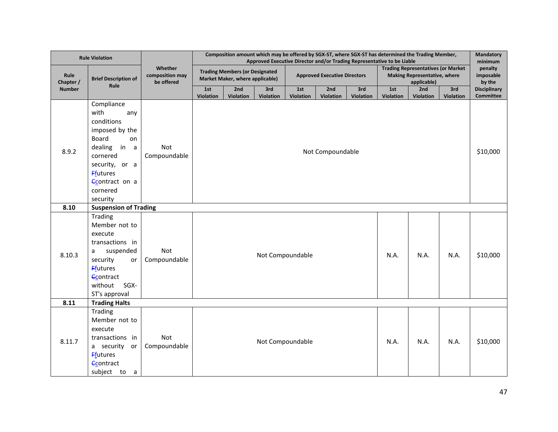|                   | <b>Rule Violation</b>                                                                                                                                                                     |                                          | Composition amount which may be offered by SGX-ST, where SGX-ST has determined the Trading Member,<br>Approved Executive Director and/or Trading Representative to be Liable |                                                                          |                  |                         |                                     |                  |                                                                                                 |                         |                         | Mandatory<br>minimum                    |  |  |
|-------------------|-------------------------------------------------------------------------------------------------------------------------------------------------------------------------------------------|------------------------------------------|------------------------------------------------------------------------------------------------------------------------------------------------------------------------------|--------------------------------------------------------------------------|------------------|-------------------------|-------------------------------------|------------------|-------------------------------------------------------------------------------------------------|-------------------------|-------------------------|-----------------------------------------|--|--|
| Rule<br>Chapter / | <b>Brief Description of</b>                                                                                                                                                               | Whether<br>composition may<br>be offered |                                                                                                                                                                              | <b>Trading Members (or Designated</b><br>Market Maker, where applicable) |                  |                         | <b>Approved Executive Directors</b> |                  | <b>Trading Representatives (or Market</b><br><b>Making Representative, where</b><br>applicable) |                         |                         | penalty<br>imposable<br>by the          |  |  |
| <b>Number</b>     | Rule                                                                                                                                                                                      |                                          | 1st<br><b>Violation</b>                                                                                                                                                      | 2nd<br>Violation                                                         | 3rd<br>Violation | 1st<br><b>Violation</b> | 2nd<br><b>Violation</b>             | 3rd<br>Violation | 1st<br><b>Violation</b>                                                                         | 2nd<br><b>Violation</b> | 3rd<br><b>Violation</b> | <b>Disciplinary</b><br><b>Committee</b> |  |  |
| 8.9.2             | Compliance<br>with<br>any<br>conditions<br>imposed by the<br><b>Board</b><br>on<br>dealing in a<br>cornered<br>security, or a<br><b>Ffutures</b><br>Contract on a<br>cornered<br>security | Not<br>Compoundable                      |                                                                                                                                                                              |                                                                          |                  |                         | Not Compoundable                    |                  |                                                                                                 |                         |                         | \$10,000                                |  |  |
| 8.10              | <b>Suspension of Trading</b>                                                                                                                                                              |                                          |                                                                                                                                                                              |                                                                          |                  |                         |                                     |                  |                                                                                                 |                         |                         |                                         |  |  |
| 8.10.3            | Trading<br>Member not to<br>execute<br>transactions in<br>suspended<br>a<br>security<br>or<br><b>F</b> futures<br><b>C</b> contract<br>without SGX-<br>ST's approval                      | Not<br>Compoundable                      | Not Compoundable<br>N.A.<br>N.A.<br>N.A.                                                                                                                                     |                                                                          |                  |                         |                                     |                  |                                                                                                 |                         | \$10,000                |                                         |  |  |
| 8.11              | <b>Trading Halts</b>                                                                                                                                                                      |                                          |                                                                                                                                                                              |                                                                          |                  |                         |                                     |                  |                                                                                                 |                         |                         |                                         |  |  |
| 8.11.7            | Trading<br>Member not to<br>execute<br>transactions in<br>a security or<br><b>F</b> futures<br><b>Contract</b><br>subject to a                                                            | Not<br>Compoundable                      | Not Compoundable<br>N.A.<br>N.A.                                                                                                                                             |                                                                          |                  |                         |                                     |                  |                                                                                                 | N.A.                    | \$10,000                |                                         |  |  |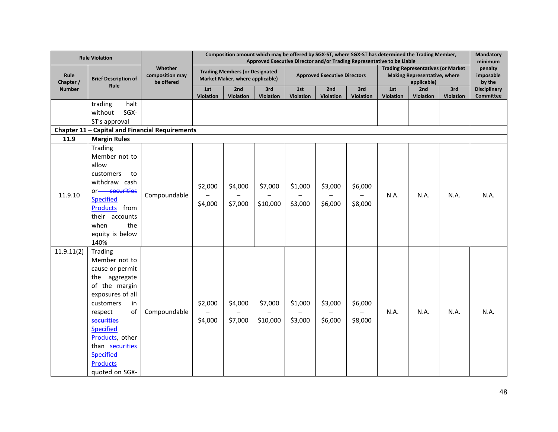|                   | <b>Rule Violation</b>                                                                                                                                                                                                                                                         |                                          |                                                                          |                    |                     | Composition amount which may be offered by SGX-ST, where SGX-ST has determined the Trading Member,<br>Approved Executive Director and/or Trading Representative to be Liable |                                     |                    |                  |                                                                                          |           | Mandatory<br>minimum                    |
|-------------------|-------------------------------------------------------------------------------------------------------------------------------------------------------------------------------------------------------------------------------------------------------------------------------|------------------------------------------|--------------------------------------------------------------------------|--------------------|---------------------|------------------------------------------------------------------------------------------------------------------------------------------------------------------------------|-------------------------------------|--------------------|------------------|------------------------------------------------------------------------------------------|-----------|-----------------------------------------|
| Rule<br>Chapter / | <b>Brief Description of</b>                                                                                                                                                                                                                                                   | Whether<br>composition may<br>be offered | <b>Trading Members (or Designated</b><br>Market Maker, where applicable) |                    |                     |                                                                                                                                                                              | <b>Approved Executive Directors</b> |                    |                  | <b>Trading Representatives (or Market</b><br>Making Representative, where<br>applicable) |           | penalty<br>imposable<br>by the          |
| <b>Number</b>     | Rule                                                                                                                                                                                                                                                                          |                                          | 1st                                                                      | 2nd                | 3rd                 | 1st                                                                                                                                                                          | 2nd                                 | 3rd                | 1st              | 2nd                                                                                      | 3rd       | <b>Disciplinary</b><br><b>Committee</b> |
|                   | trading<br>halt<br>SGX-<br>without<br>ST's approval                                                                                                                                                                                                                           |                                          | <b>Violation</b>                                                         | Violation          | Violation           | <b>Violation</b>                                                                                                                                                             | <b>Violation</b>                    | <b>Violation</b>   | <b>Violation</b> | <b>Violation</b>                                                                         | Violation |                                         |
| 11.9              | Chapter 11 - Capital and Financial Requirements<br><b>Margin Rules</b>                                                                                                                                                                                                        |                                          |                                                                          |                    |                     |                                                                                                                                                                              |                                     |                    |                  |                                                                                          |           |                                         |
| 11.9.10           | Trading<br>Member not to<br>allow<br>customers<br>to<br>withdraw cash<br>or-securities<br><b>Specified</b><br>Products from<br>their accounts<br>when<br>the<br>equity is below<br>140%                                                                                       | Compoundable                             | \$2,000<br>\$4,000                                                       | \$4,000<br>\$7,000 | \$7,000<br>\$10,000 | \$1,000<br>\$3,000                                                                                                                                                           | \$3,000<br>\$6,000                  | \$6,000<br>\$8,000 | N.A.             | N.A.                                                                                     | N.A.      | N.A.                                    |
| 11.9.11(2)        | Trading<br>Member not to<br>cause or permit<br>the aggregate<br>of the margin<br>exposures of all<br>customers<br>in<br>of<br>respect<br><b>securities</b><br><b>Specified</b><br>Products, other<br>than-securities<br><b>Specified</b><br><b>Products</b><br>quoted on SGX- | Compoundable                             | \$2,000<br>\$4,000                                                       | \$4,000<br>\$7,000 | \$7,000<br>\$10,000 | \$1,000<br>\$3,000                                                                                                                                                           | \$3,000<br>\$6,000                  | \$6,000<br>\$8,000 | N.A.             | N.A.                                                                                     | N.A.      | N.A.                                    |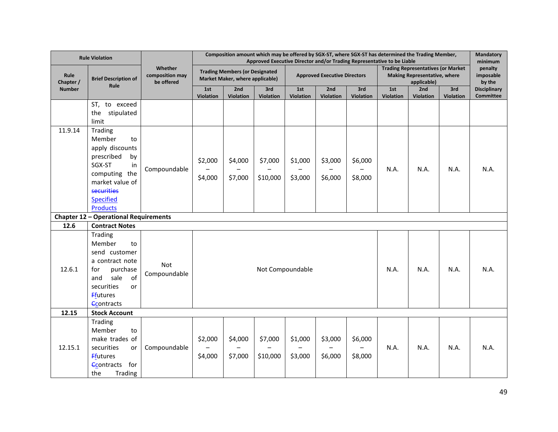|                          | <b>Rule Violation</b>                                                                                                                                                          |                                          | Composition amount which may be offered by SGX-ST, where SGX-ST has determined the Trading Member,<br>Approved Executive Director and/or Trading Representative to be Liable |                                                                          |                         |                    |                                     |                    |                  |                                                                                                 |                  |                                           |
|--------------------------|--------------------------------------------------------------------------------------------------------------------------------------------------------------------------------|------------------------------------------|------------------------------------------------------------------------------------------------------------------------------------------------------------------------------|--------------------------------------------------------------------------|-------------------------|--------------------|-------------------------------------|--------------------|------------------|-------------------------------------------------------------------------------------------------|------------------|-------------------------------------------|
| <b>Rule</b><br>Chapter / | <b>Brief Description of</b>                                                                                                                                                    | Whether<br>composition may<br>be offered |                                                                                                                                                                              | <b>Trading Members (or Designated</b><br>Market Maker, where applicable) |                         |                    | <b>Approved Executive Directors</b> |                    |                  | <b>Trading Representatives (or Market</b><br><b>Making Representative, where</b><br>applicable) |                  | minimum<br>penalty<br>imposable<br>by the |
| <b>Number</b>            | Rule                                                                                                                                                                           |                                          | 1st<br>Violation                                                                                                                                                             | 2nd<br>Violation                                                         | 3rd<br><b>Violation</b> | 1st<br>Violation   | 2nd<br>Violation                    | 3rd<br>Violation   | 1st<br>Violation | 2nd<br>Violation                                                                                | 3rd<br>Violation | <b>Disciplinary</b><br>Committee          |
|                          | ST, to exceed<br>stipulated<br>the<br>limit                                                                                                                                    |                                          |                                                                                                                                                                              |                                                                          |                         |                    |                                     |                    |                  |                                                                                                 |                  |                                           |
| 11.9.14                  | Trading<br>Member<br>to<br>apply discounts<br>prescribed<br>by<br>SGX-ST<br>in<br>computing the<br>market value of<br><b>securities</b><br><b>Specified</b><br><b>Products</b> | Compoundable                             | \$2,000<br>\$4,000                                                                                                                                                           | \$4,000<br>\$7,000                                                       | \$7,000<br>\$10,000     | \$1,000<br>\$3,000 | \$3,000<br>\$6,000                  | \$6,000<br>\$8,000 | N.A.             | N.A.                                                                                            | N.A.             | N.A.                                      |
| Chapter 12               | - Operational Requirements                                                                                                                                                     |                                          |                                                                                                                                                                              |                                                                          |                         |                    |                                     |                    |                  |                                                                                                 |                  |                                           |
| 12.6                     | <b>Contract Notes</b>                                                                                                                                                          |                                          |                                                                                                                                                                              |                                                                          |                         |                    |                                     |                    |                  |                                                                                                 |                  |                                           |
| 12.6.1                   | Trading<br>Member<br>to<br>send customer<br>a contract note<br>for<br>purchase<br>sale<br>of<br>and<br>securities<br>or<br><b>Ffutures</b><br><b>Contracts</b>                 | Not<br>Compoundable                      |                                                                                                                                                                              |                                                                          |                         | Not Compoundable   |                                     |                    | N.A.             | N.A.                                                                                            | N.A.             | N.A.                                      |
| 12.15                    | <b>Stock Account</b>                                                                                                                                                           |                                          |                                                                                                                                                                              |                                                                          |                         |                    |                                     |                    |                  |                                                                                                 |                  |                                           |
| 12.15.1                  | Trading<br>Member<br>to<br>make trades of<br>securities<br>or<br><b>F</b> futures<br><b>Contracts</b><br>for<br>Trading<br>the                                                 | Compoundable                             | \$2,000<br>\$4,000                                                                                                                                                           | \$4,000<br>\$7,000                                                       | \$7,000<br>\$10,000     | \$1,000<br>\$3,000 | \$3,000<br>\$6,000                  | \$6,000<br>\$8,000 | N.A.             | N.A.                                                                                            | N.A.             | N.A.                                      |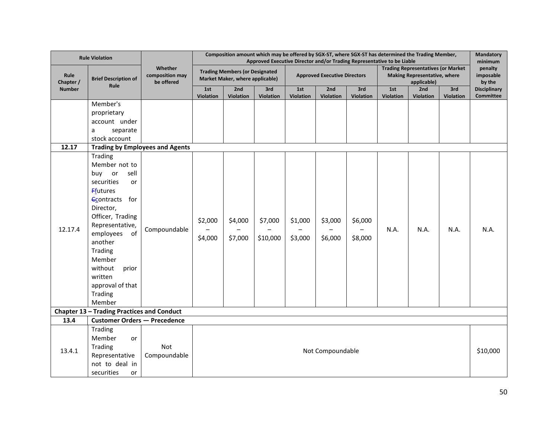|                   | <b>Rule Violation</b>                                                                                                                                                                                                                                                                                                                                                                                                           |                                                        | Composition amount which may be offered by SGX-ST, where SGX-ST has determined the Trading Member,<br>Approved Executive Director and/or Trading Representative to be Liable |                                                                          |                         |                                     |                         |                    |                  |                                                                                                 |                         | Mandatory<br>minimum             |  |
|-------------------|---------------------------------------------------------------------------------------------------------------------------------------------------------------------------------------------------------------------------------------------------------------------------------------------------------------------------------------------------------------------------------------------------------------------------------|--------------------------------------------------------|------------------------------------------------------------------------------------------------------------------------------------------------------------------------------|--------------------------------------------------------------------------|-------------------------|-------------------------------------|-------------------------|--------------------|------------------|-------------------------------------------------------------------------------------------------|-------------------------|----------------------------------|--|
| Rule<br>Chapter / | <b>Brief Description of</b>                                                                                                                                                                                                                                                                                                                                                                                                     | Whether<br>composition may<br>be offered               |                                                                                                                                                                              | <b>Trading Members (or Designated</b><br>Market Maker, where applicable) |                         | <b>Approved Executive Directors</b> |                         |                    |                  | <b>Trading Representatives (or Market</b><br><b>Making Representative, where</b><br>applicable) |                         | penalty<br>imposable<br>by the   |  |
| <b>Number</b>     | Rule                                                                                                                                                                                                                                                                                                                                                                                                                            |                                                        | 1st<br>Violation                                                                                                                                                             | 2nd<br>Violation                                                         | 3rd<br><b>Violation</b> | 1st<br>Violation                    | 2nd<br><b>Violation</b> | 3rd<br>Violation   | 1st<br>Violation | 2nd<br><b>Violation</b>                                                                         | 3rd<br><b>Violation</b> | <b>Disciplinary</b><br>Committee |  |
| 12.17<br>12.17.4  | Member's<br>proprietary<br>account under<br>separate<br>a<br>stock account<br>Trading<br>Member not to<br>sell<br>buy<br>or<br>securities<br>or<br><b>Ffutures</b><br><b>Econtracts</b> for<br>Director,<br>Officer, Trading<br>Representative,<br>employees<br>of<br>another<br>Trading<br>Member<br>without<br>prior<br>written<br>approval of that<br>Trading<br>Member<br><b>Chapter 13 - Trading Practices and Conduct</b> | <b>Trading by Employees and Agents</b><br>Compoundable | \$2,000<br>\$4,000                                                                                                                                                           | \$4,000<br>\$7,000                                                       | \$7,000<br>\$10,000     | \$1,000<br>\$3,000                  | \$3,000<br>\$6,000      | \$6,000<br>\$8,000 | N.A.             | N.A.                                                                                            | N.A.                    | N.A.                             |  |
| 13.4              | <b>Customer Orders - Precedence</b>                                                                                                                                                                                                                                                                                                                                                                                             |                                                        |                                                                                                                                                                              |                                                                          |                         |                                     |                         |                    |                  |                                                                                                 |                         |                                  |  |
| 13.4.1            | Trading<br>Member<br>or<br>Trading<br>Representative<br>not to deal in<br>securities<br>or                                                                                                                                                                                                                                                                                                                                      | Not<br>Compoundable                                    |                                                                                                                                                                              | Not Compoundable                                                         |                         |                                     |                         |                    |                  |                                                                                                 |                         |                                  |  |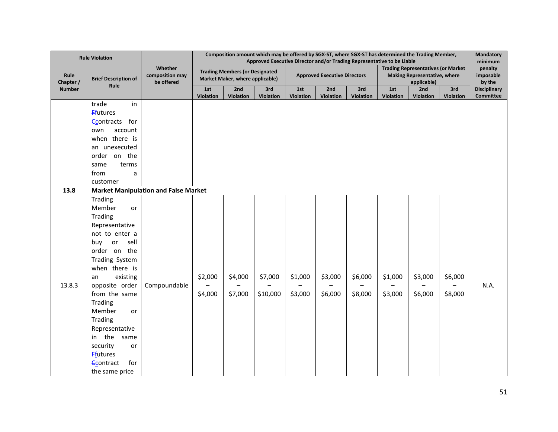|                   | <b>Rule Violation</b>            |                                             | Composition amount which may be offered by SGX-ST, where SGX-ST has determined the Trading Member,<br>Approved Executive Director and/or Trading Representative to be Liable |           |           |                                     |                  |           |                  |                                                                                          |                  |                                           |
|-------------------|----------------------------------|---------------------------------------------|------------------------------------------------------------------------------------------------------------------------------------------------------------------------------|-----------|-----------|-------------------------------------|------------------|-----------|------------------|------------------------------------------------------------------------------------------|------------------|-------------------------------------------|
| Rule<br>Chapter / | <b>Brief Description of</b>      | Whether<br>composition may<br>be offered    | <b>Trading Members (or Designated</b><br>Market Maker, where applicable)                                                                                                     |           |           | <b>Approved Executive Directors</b> |                  |           |                  | <b>Trading Representatives (or Market</b><br>Making Representative, where<br>applicable) |                  | minimum<br>penalty<br>imposable<br>by the |
| <b>Number</b>     | Rule                             |                                             | 1st                                                                                                                                                                          | 2nd       | 3rd       | 1st                                 | 2nd              | 3rd       | 1st              | 2nd                                                                                      | 3rd              | <b>Disciplinary</b>                       |
|                   | trade<br>in                      |                                             | Violation                                                                                                                                                                    | Violation | Violation | Violation                           | <b>Violation</b> | Violation | <b>Violation</b> | <b>Violation</b>                                                                         | <b>Violation</b> | <b>Committee</b>                          |
|                   | <b>F</b> futures                 |                                             |                                                                                                                                                                              |           |           |                                     |                  |           |                  |                                                                                          |                  |                                           |
|                   | <b>Econtracts</b> for            |                                             |                                                                                                                                                                              |           |           |                                     |                  |           |                  |                                                                                          |                  |                                           |
|                   | own<br>account                   |                                             |                                                                                                                                                                              |           |           |                                     |                  |           |                  |                                                                                          |                  |                                           |
|                   | when there is                    |                                             |                                                                                                                                                                              |           |           |                                     |                  |           |                  |                                                                                          |                  |                                           |
|                   | an unexecuted                    |                                             |                                                                                                                                                                              |           |           |                                     |                  |           |                  |                                                                                          |                  |                                           |
|                   | order on the                     |                                             |                                                                                                                                                                              |           |           |                                     |                  |           |                  |                                                                                          |                  |                                           |
|                   | terms<br>same                    |                                             |                                                                                                                                                                              |           |           |                                     |                  |           |                  |                                                                                          |                  |                                           |
|                   | from<br>a                        |                                             |                                                                                                                                                                              |           |           |                                     |                  |           |                  |                                                                                          |                  |                                           |
|                   | customer                         |                                             |                                                                                                                                                                              |           |           |                                     |                  |           |                  |                                                                                          |                  |                                           |
| 13.8              |                                  | <b>Market Manipulation and False Market</b> |                                                                                                                                                                              |           |           |                                     |                  |           |                  |                                                                                          |                  |                                           |
|                   | Trading                          |                                             |                                                                                                                                                                              |           |           |                                     |                  |           |                  |                                                                                          |                  |                                           |
|                   | Member<br>or                     |                                             |                                                                                                                                                                              |           |           |                                     |                  |           |                  |                                                                                          |                  |                                           |
|                   | Trading                          |                                             |                                                                                                                                                                              |           |           |                                     |                  |           |                  |                                                                                          |                  |                                           |
|                   | Representative<br>not to enter a |                                             |                                                                                                                                                                              |           |           |                                     |                  |           |                  |                                                                                          |                  |                                           |
|                   | sell<br>buy<br>or                |                                             |                                                                                                                                                                              |           |           |                                     |                  |           |                  |                                                                                          |                  |                                           |
|                   | order on the                     |                                             |                                                                                                                                                                              |           |           |                                     |                  |           |                  |                                                                                          |                  |                                           |
|                   | Trading System                   |                                             |                                                                                                                                                                              |           |           |                                     |                  |           |                  |                                                                                          |                  |                                           |
|                   | when there is                    |                                             |                                                                                                                                                                              |           |           |                                     |                  |           |                  |                                                                                          |                  |                                           |
|                   | existing<br>an                   |                                             | \$2,000                                                                                                                                                                      | \$4,000   | \$7,000   | \$1,000                             | \$3,000          | \$6,000   | \$1,000          | \$3,000                                                                                  | \$6,000          |                                           |
| 13.8.3            | opposite order                   | Compoundable                                |                                                                                                                                                                              |           |           |                                     |                  |           |                  |                                                                                          |                  | N.A.                                      |
|                   | from the same                    |                                             | \$4,000                                                                                                                                                                      | \$7,000   | \$10,000  | \$3,000                             | \$6,000          | \$8,000   | \$3,000          | \$6,000                                                                                  | \$8,000          |                                           |
|                   | Trading                          |                                             |                                                                                                                                                                              |           |           |                                     |                  |           |                  |                                                                                          |                  |                                           |
|                   | Member<br>or                     |                                             |                                                                                                                                                                              |           |           |                                     |                  |           |                  |                                                                                          |                  |                                           |
|                   | Trading                          |                                             |                                                                                                                                                                              |           |           |                                     |                  |           |                  |                                                                                          |                  |                                           |
|                   | Representative                   |                                             |                                                                                                                                                                              |           |           |                                     |                  |           |                  |                                                                                          |                  |                                           |
|                   | the same<br>in                   |                                             |                                                                                                                                                                              |           |           |                                     |                  |           |                  |                                                                                          |                  |                                           |
|                   | security<br>or                   |                                             |                                                                                                                                                                              |           |           |                                     |                  |           |                  |                                                                                          |                  |                                           |
|                   | <b>Ffutures</b>                  |                                             |                                                                                                                                                                              |           |           |                                     |                  |           |                  |                                                                                          |                  |                                           |
|                   | for<br><b>Econtract</b>          |                                             |                                                                                                                                                                              |           |           |                                     |                  |           |                  |                                                                                          |                  |                                           |
|                   | the same price                   |                                             |                                                                                                                                                                              |           |           |                                     |                  |           |                  |                                                                                          |                  |                                           |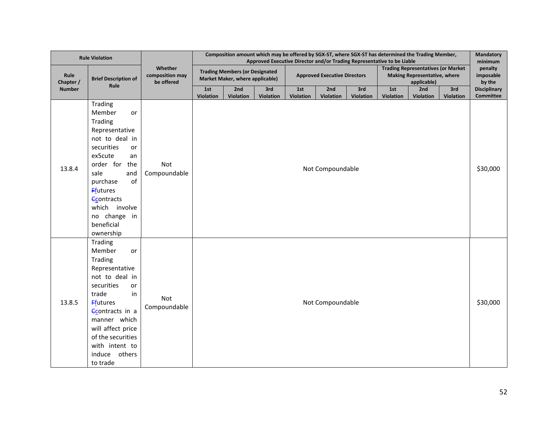|                   | <b>Rule Violation</b>                                                                                                                                                                                                                                               |                                          | Composition amount which may be offered by SGX-ST, where SGX-ST has determined the Trading Member,<br>Approved Executive Director and/or Trading Representative to be Liable |                                                                          |                  |                  |                                     |                  |                  |                                                                                                 |                  | Mandatory<br>minimum                    |
|-------------------|---------------------------------------------------------------------------------------------------------------------------------------------------------------------------------------------------------------------------------------------------------------------|------------------------------------------|------------------------------------------------------------------------------------------------------------------------------------------------------------------------------|--------------------------------------------------------------------------|------------------|------------------|-------------------------------------|------------------|------------------|-------------------------------------------------------------------------------------------------|------------------|-----------------------------------------|
| Rule<br>Chapter / | <b>Brief Description of</b><br>Rule                                                                                                                                                                                                                                 | Whether<br>composition may<br>be offered |                                                                                                                                                                              | <b>Trading Members (or Designated</b><br>Market Maker, where applicable) |                  |                  | <b>Approved Executive Directors</b> |                  |                  | <b>Trading Representatives (or Market</b><br><b>Making Representative, where</b><br>applicable) |                  | penalty<br>imposable<br>by the          |
| <b>Number</b>     |                                                                                                                                                                                                                                                                     |                                          | 1st<br>Violation                                                                                                                                                             | 2nd<br>Violation                                                         | 3rd<br>Violation | 1st<br>Violation | 2nd<br>Violation                    | 3rd<br>Violation | 1st<br>Violation | 2nd<br>Violation                                                                                | 3rd<br>Violation | <b>Disciplinary</b><br><b>Committee</b> |
| 13.8.4            | Trading<br>Member<br>or<br>Trading<br>Representative<br>not to deal in<br>securities<br>or<br>ex5cute<br>an<br>order for<br>the<br>sale<br>and<br>of<br>purchase<br><b>Ffutures</b><br><b>Contracts</b><br>which involve<br>no change in<br>beneficial<br>ownership | Not<br>Compoundable                      |                                                                                                                                                                              |                                                                          |                  |                  | Not Compoundable                    |                  |                  |                                                                                                 |                  | \$30,000                                |
| 13.8.5            | Trading<br>Member<br>or<br>Trading<br>Representative<br>not to deal in<br>securities<br>or<br>trade<br>in<br><b>Ffutures</b><br><b>Contracts</b> in a<br>manner which<br>will affect price<br>of the securities<br>with intent to<br>induce others<br>to trade      | Not<br>Compoundable                      |                                                                                                                                                                              |                                                                          |                  |                  | Not Compoundable                    |                  |                  |                                                                                                 |                  | \$30,000                                |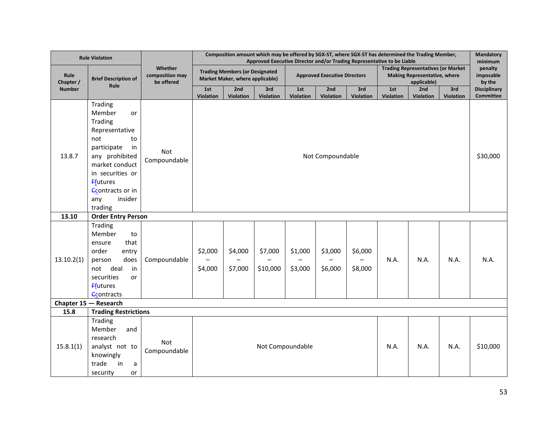| <b>Rule Violation</b>                                        |                                                                                                                                                                                                                          |                                          | Composition amount which may be offered by SGX-ST, where SGX-ST has determined the Trading Member,<br>Approved Executive Director and/or Trading Representative to be Liable |                    |                     |                                     |                    |                    |                                                                                          |          |      | Mandatory<br>minimum             |  |
|--------------------------------------------------------------|--------------------------------------------------------------------------------------------------------------------------------------------------------------------------------------------------------------------------|------------------------------------------|------------------------------------------------------------------------------------------------------------------------------------------------------------------------------|--------------------|---------------------|-------------------------------------|--------------------|--------------------|------------------------------------------------------------------------------------------|----------|------|----------------------------------|--|
| Rule<br>Chapter /                                            | <b>Brief Description of</b><br>Rule                                                                                                                                                                                      | Whether<br>composition may<br>be offered | <b>Trading Members (or Designated</b><br>Market Maker, where applicable)                                                                                                     |                    |                     | <b>Approved Executive Directors</b> |                    |                    | <b>Trading Representatives (or Market</b><br>Making Representative, where<br>applicable) |          |      | penalty<br>imposable<br>by the   |  |
| <b>Number</b>                                                |                                                                                                                                                                                                                          |                                          | 1st                                                                                                                                                                          | 2nd                | 3rd                 | 1st                                 | 2nd                | 3rd                | 1st                                                                                      | 2nd      | 3rd  | <b>Disciplinary</b><br>Committee |  |
| 13.8.7                                                       | Trading<br>Member<br>or<br>Trading<br>Representative<br>not<br>to<br>participate<br>in<br>any prohibited<br>market conduct<br>in securities or<br><b>Ffutures</b><br><b>Contracts or in</b><br>insider<br>any<br>trading | Not<br>Compoundable                      | <b>Violation</b><br>Violation<br><b>Violation</b><br>Violation<br>Violation<br><b>Violation</b><br><b>Violation</b><br>Violation<br>Violation<br>Not Compoundable            |                    |                     |                                     |                    |                    |                                                                                          | \$30,000 |      |                                  |  |
| 13.10                                                        | <b>Order Entry Person</b>                                                                                                                                                                                                |                                          |                                                                                                                                                                              |                    |                     |                                     |                    |                    |                                                                                          |          |      |                                  |  |
| 13.10.2(1)                                                   | Trading<br>Member<br>to<br>that<br>ensure<br>order<br>entry<br>does<br>person<br>deal<br>in<br>not<br>securities<br>or<br><b>Ffutures</b><br><b>Contracts</b>                                                            | Compoundable                             | \$2,000<br>\$4,000                                                                                                                                                           | \$4,000<br>\$7,000 | \$7,000<br>\$10,000 | \$1,000<br>\$3,000                  | \$3,000<br>\$6,000 | \$6,000<br>\$8,000 | N.A.                                                                                     | N.A.     | N.A. | N.A.                             |  |
| Chapter 15 - Research<br>15.8<br><b>Trading Restrictions</b> |                                                                                                                                                                                                                          |                                          |                                                                                                                                                                              |                    |                     |                                     |                    |                    |                                                                                          |          |      |                                  |  |
| 15.8.1(1)                                                    | Trading<br>Member<br>and<br>research<br>analyst not to<br>knowingly<br>trade<br>in<br>a<br>security<br>or                                                                                                                | Not<br>Compoundable                      | Not Compoundable<br>N.A.<br>N.A.<br>N.A.                                                                                                                                     |                    |                     |                                     |                    |                    | \$10,000                                                                                 |          |      |                                  |  |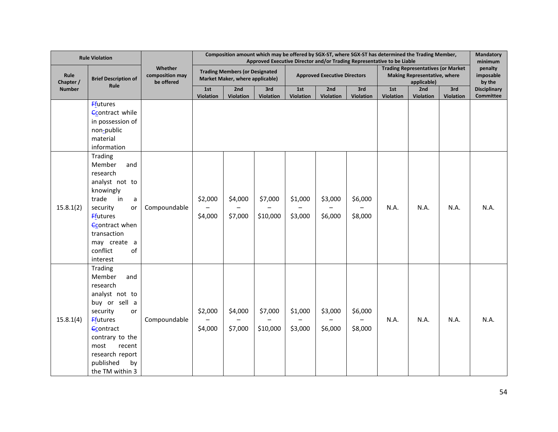| <b>Rule Violation</b>                            |                                                                                                                                                                                                                               |                                          | Composition amount which may be offered by SGX-ST, where SGX-ST has determined the Trading Member,<br>Approved Executive Director and/or Trading Representative to be Liable |                    |                     |                                     |                    |                    |                                                                                                 |                  |           | Mandatory<br>minimum           |  |
|--------------------------------------------------|-------------------------------------------------------------------------------------------------------------------------------------------------------------------------------------------------------------------------------|------------------------------------------|------------------------------------------------------------------------------------------------------------------------------------------------------------------------------|--------------------|---------------------|-------------------------------------|--------------------|--------------------|-------------------------------------------------------------------------------------------------|------------------|-----------|--------------------------------|--|
| Rule<br><b>Brief Description of</b><br>Chapter / |                                                                                                                                                                                                                               | Whether<br>composition may<br>be offered | <b>Trading Members (or Designated</b><br>Market Maker, where applicable)                                                                                                     |                    |                     | <b>Approved Executive Directors</b> |                    |                    | <b>Trading Representatives (or Market</b><br><b>Making Representative, where</b><br>applicable) |                  |           | penalty<br>imposable<br>by the |  |
| <b>Number</b>                                    | Rule                                                                                                                                                                                                                          |                                          | 1st                                                                                                                                                                          | 2nd                | 3rd                 | 1st                                 | 2nd                | 3rd                | 1st                                                                                             | 2nd              | 3rd       | <b>Disciplinary</b>            |  |
|                                                  | <b>Ffutures</b><br><b>Contract while</b><br>in possession of<br>non-public<br>material<br>information                                                                                                                         |                                          | Violation                                                                                                                                                                    | Violation          | Violation           | Violation                           | Violation          | Violation          | <b>Violation</b>                                                                                | <b>Violation</b> | Violation | <b>Committee</b>               |  |
| 15.8.1(2)                                        | Trading<br>Member<br>and<br>research<br>analyst not to<br>knowingly<br>trade<br>in<br>a<br>security<br>or<br><b>F</b> futures<br><b>Econtract when</b><br>transaction<br>may create a<br>of<br>conflict<br>interest           | Compoundable                             | \$2,000<br>\$4,000                                                                                                                                                           | \$4,000<br>\$7,000 | \$7,000<br>\$10,000 | \$1,000<br>\$3,000                  | \$3,000<br>\$6,000 | \$6,000<br>\$8,000 | N.A.                                                                                            | N.A.             | N.A.      | N.A.                           |  |
| 15.8.1(4)                                        | Trading<br>Member<br>and<br>research<br>analyst not to<br>buy or sell a<br>security<br>or<br><b>Ffutures</b><br><b>Contract</b><br>contrary to the<br>most<br>recent<br>research report<br>published<br>by<br>the TM within 3 | Compoundable                             | \$2,000<br>\$4,000                                                                                                                                                           | \$4,000<br>\$7,000 | \$7,000<br>\$10,000 | \$1,000<br>\$3,000                  | \$3,000<br>\$6,000 | \$6,000<br>\$8,000 | N.A.                                                                                            | N.A.             | N.A.      | N.A.                           |  |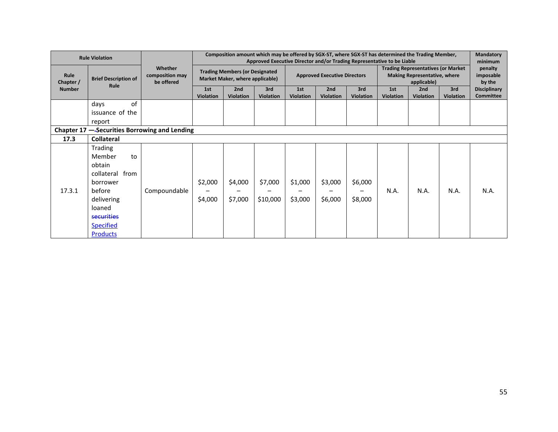| <b>Rule Violation</b>              |                                                                                                                                                                |                                          | Composition amount which may be offered by SGX-ST, where SGX-ST has determined the Trading Member,<br>Approved Executive Director and/or Trading Representative to be Liable |                         |                         |                                     |                         |                         |                                                                                                 |                         | Mandatory<br>minimum    |                                  |
|------------------------------------|----------------------------------------------------------------------------------------------------------------------------------------------------------------|------------------------------------------|------------------------------------------------------------------------------------------------------------------------------------------------------------------------------|-------------------------|-------------------------|-------------------------------------|-------------------------|-------------------------|-------------------------------------------------------------------------------------------------|-------------------------|-------------------------|----------------------------------|
| Rule<br>Chapter /<br><b>Number</b> | <b>Brief Description of</b><br>Rule                                                                                                                            | Whether<br>composition may<br>be offered | <b>Trading Members (or Designated</b><br>Market Maker, where applicable)                                                                                                     |                         |                         | <b>Approved Executive Directors</b> |                         |                         | <b>Trading Representatives (or Market</b><br><b>Making Representative, where</b><br>applicable) |                         |                         | penalty<br>imposable<br>by the   |
|                                    |                                                                                                                                                                |                                          | 1st<br><b>Violation</b>                                                                                                                                                      | 2nd<br><b>Violation</b> | 3rd<br><b>Violation</b> | 1st<br><b>Violation</b>             | 2nd<br><b>Violation</b> | 3rd<br><b>Violation</b> | 1st<br><b>Violation</b>                                                                         | 2nd<br><b>Violation</b> | 3rd<br><b>Violation</b> | <b>Disciplinary</b><br>Committee |
|                                    | of<br>days<br>issuance of the<br>report                                                                                                                        |                                          |                                                                                                                                                                              |                         |                         |                                     |                         |                         |                                                                                                 |                         |                         |                                  |
|                                    | Chapter 17<br>-Securities Borrowing and Lending                                                                                                                |                                          |                                                                                                                                                                              |                         |                         |                                     |                         |                         |                                                                                                 |                         |                         |                                  |
| 17.3                               | <b>Collateral</b>                                                                                                                                              |                                          |                                                                                                                                                                              |                         |                         |                                     |                         |                         |                                                                                                 |                         |                         |                                  |
| 17.3.1                             | Trading<br>Member<br>to<br>obtain<br>collateral from<br>borrower<br>before<br>delivering<br>loaned<br><b>securities</b><br><b>Specified</b><br><b>Products</b> | Compoundable                             | \$2,000<br>\$4,000                                                                                                                                                           | \$4,000<br>\$7,000      | \$7,000<br>\$10,000     | \$1,000<br>\$3,000                  | \$3,000<br>\$6,000      | \$6,000<br>\$8,000      | N.A.                                                                                            | N.A.                    | N.A.                    | N.A.                             |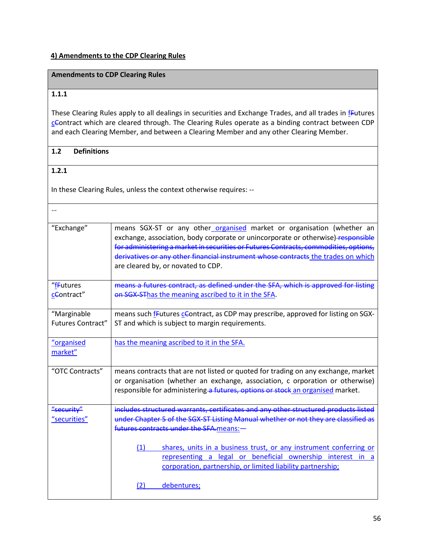#### **4) Amendments to the CDP Clearing Rules**

## **Amendments to CDP Clearing Rules**

#### **1.1.1**

These Clearing Rules apply to all dealings in securities and Exchange Trades, and all trades in *fFutures* cContract which are cleared through. The Clearing Rules operate as a binding contract between CDP and each Clearing Member, and between a Clearing Member and any other Clearing Member.

#### **1.2 Definitions**

## **1.2.1**

In these Clearing Rules, unless the context otherwise requires: --

| "Exchange"               | means SGX-ST or any other organised market or organisation (whether an<br>exchange, association, body corporate or unincorporate or otherwise)-responsible<br>for administering a market in securities or Futures Contracts, commodities, options,<br>derivatives or any other financial instrument whose contracts the trades on which<br>are cleared by, or novated to CDP. |
|--------------------------|-------------------------------------------------------------------------------------------------------------------------------------------------------------------------------------------------------------------------------------------------------------------------------------------------------------------------------------------------------------------------------|
| "fFutures                | means a futures contract, as defined under the SFA, which is approved for listing                                                                                                                                                                                                                                                                                             |
| cContract"               | on SGX-SThas the meaning ascribed to it in the SFA.                                                                                                                                                                                                                                                                                                                           |
| "Marginable              | means such frutures centract, as CDP may prescribe, approved for listing on SGX-                                                                                                                                                                                                                                                                                              |
| <b>Futures Contract"</b> | ST and which is subject to margin requirements.                                                                                                                                                                                                                                                                                                                               |
| "organised               | has the meaning ascribed to it in the SFA.                                                                                                                                                                                                                                                                                                                                    |
| market"                  |                                                                                                                                                                                                                                                                                                                                                                               |
| "OTC Contracts"          | means contracts that are not listed or quoted for trading on any exchange, market<br>or organisation (whether an exchange, association, c orporation or otherwise)<br>responsible for administering a futures, options or stock an organised market.                                                                                                                          |
| "security"               | includes structured warrants, certificates and any other structured products listed                                                                                                                                                                                                                                                                                           |
| "securities"             | under Chapter 5 of the SGX-ST Listing Manual whether or not they are classified as                                                                                                                                                                                                                                                                                            |
|                          | futures contracts under the SFA means: -                                                                                                                                                                                                                                                                                                                                      |
|                          | shares, units in a business trust, or any instrument conferring or<br>(1)                                                                                                                                                                                                                                                                                                     |
|                          | representing a legal or beneficial ownership interest in a                                                                                                                                                                                                                                                                                                                    |
|                          | corporation, partnership, or limited liability partnership;                                                                                                                                                                                                                                                                                                                   |
|                          | debentures;<br>21                                                                                                                                                                                                                                                                                                                                                             |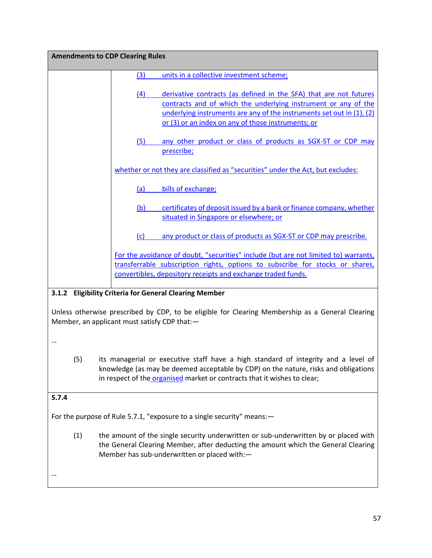| <b>Amendments to CDP Clearing Rules</b> |     |                                                                                                                                                                                                                                                                    |
|-----------------------------------------|-----|--------------------------------------------------------------------------------------------------------------------------------------------------------------------------------------------------------------------------------------------------------------------|
|                                         | (3) | units in a collective investment scheme;                                                                                                                                                                                                                           |
|                                         | (4) | derivative contracts (as defined in the SFA) that are not futures<br>contracts and of which the underlying instrument or any of the<br>underlying instruments are any of the instruments set out in (1), (2)<br>or (3) or an index on any of those instruments; or |
|                                         | (5) | any other product or class of products as SGX-ST or CDP may<br>prescribe;                                                                                                                                                                                          |
|                                         |     | whether or not they are classified as "securities" under the Act, but excludes:                                                                                                                                                                                    |
|                                         | (a) | bills of exchange;                                                                                                                                                                                                                                                 |
|                                         | (b) | certificates of deposit issued by a bank or finance company, whether<br>situated in Singapore or elsewhere; or                                                                                                                                                     |
|                                         | (c) | any product or class of products as SGX-ST or CDP may prescribe.                                                                                                                                                                                                   |
|                                         |     | For the avoidance of doubt, "securities" include (but are not limited to) warrants,<br>transferrable subscription rights, options to subscribe for stocks or shares,<br>convertibles, depository receipts and exchange traded funds.                               |

## **3.1.2 Eligibility Criteria for General Clearing Member**

Unless otherwise prescribed by CDP, to be eligible for Clearing Membership as a General Clearing Member, an applicant must satisfy CDP that:—

…

(5) its managerial or executive staff have a high standard of integrity and a level of knowledge (as may be deemed acceptable by CDP) on the nature, risks and obligations in respect of the organised market or contracts that it wishes to clear;

#### **5.7.4**

For the purpose of Rule 5.7.1, "exposure to a single security" means:—

(1) the amount of the single security underwritten or sub-underwritten by or placed with the General Clearing Member, after deducting the amount which the General Clearing Member has sub-underwritten or placed with:—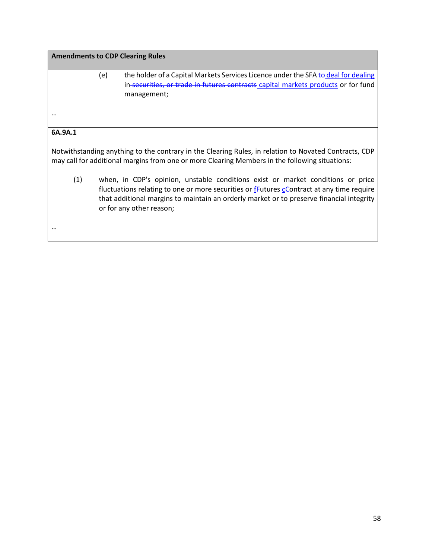|          | <b>Amendments to CDP Clearing Rules</b>                                                                                                                                                                                                                                                                               |
|----------|-----------------------------------------------------------------------------------------------------------------------------------------------------------------------------------------------------------------------------------------------------------------------------------------------------------------------|
|          | (e)<br>the holder of a Capital Markets Services Licence under the SFA to deal for dealing<br>in-securities, or trade in futures contracts capital markets products or for fund<br>management;                                                                                                                         |
| $\cdots$ |                                                                                                                                                                                                                                                                                                                       |
| 6A.9A.1  |                                                                                                                                                                                                                                                                                                                       |
|          | Notwithstanding anything to the contrary in the Clearing Rules, in relation to Novated Contracts, CDP<br>may call for additional margins from one or more Clearing Members in the following situations:                                                                                                               |
| (1)      | when, in CDP's opinion, unstable conditions exist or market conditions or price<br>fluctuations relating to one or more securities or <i>f</i> -Eutures <i>c</i> Contract at any time require<br>that additional margins to maintain an orderly market or to preserve financial integrity<br>or for any other reason; |
|          |                                                                                                                                                                                                                                                                                                                       |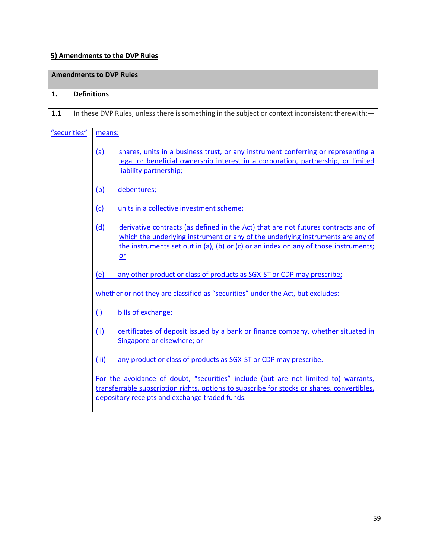# **5) Amendments to the DVP Rules**

|     |                    | <b>Amendments to DVP Rules</b>                                                                                                                                                                                                                                            |
|-----|--------------------|---------------------------------------------------------------------------------------------------------------------------------------------------------------------------------------------------------------------------------------------------------------------------|
| 1.  | <b>Definitions</b> |                                                                                                                                                                                                                                                                           |
| 1.1 |                    | In these DVP Rules, unless there is something in the subject or context inconsistent therewith: -                                                                                                                                                                         |
|     | "securities"       | means:                                                                                                                                                                                                                                                                    |
|     |                    | shares, units in a business trust, or any instrument conferring or representing a<br><u>(a)</u><br>legal or beneficial ownership interest in a corporation, partnership, or limited<br>liability partnership;                                                             |
|     |                    | (b)<br>debentures;                                                                                                                                                                                                                                                        |
|     |                    | (c)<br>units in a collective investment scheme;                                                                                                                                                                                                                           |
|     |                    | derivative contracts (as defined in the Act) that are not futures contracts and of<br>(d)<br>which the underlying instrument or any of the underlying instruments are any of<br>the instruments set out in (a), (b) or (c) or an index on any of those instruments;<br>or |
|     |                    | any other product or class of products as SGX-ST or CDP may prescribe;<br>(e)                                                                                                                                                                                             |
|     |                    | whether or not they are classified as "securities" under the Act, but excludes:                                                                                                                                                                                           |
|     |                    | bills of exchange;<br>(i)                                                                                                                                                                                                                                                 |
|     |                    | certificates of deposit issued by a bank or finance company, whether situated in<br>(ii)<br>Singapore or elsewhere; or                                                                                                                                                    |
|     |                    | (iii)<br>any product or class of products as SGX-ST or CDP may prescribe.                                                                                                                                                                                                 |
|     |                    | For the avoidance of doubt, "securities" include (but are not limited to) warrants,<br>transferrable subscription rights, options to subscribe for stocks or shares, convertibles,<br>depository receipts and exchange traded funds.                                      |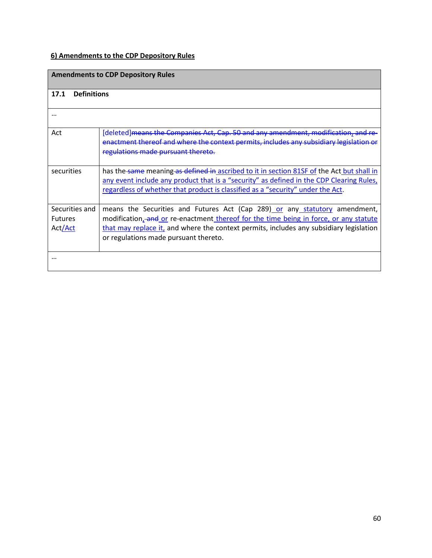# **6) Amendments to the CDP Depository Rules**

|                                             | <b>Amendments to CDP Depository Rules</b>                                                                                                                                                                                                                                                                            |
|---------------------------------------------|----------------------------------------------------------------------------------------------------------------------------------------------------------------------------------------------------------------------------------------------------------------------------------------------------------------------|
| 17.1<br><b>Definitions</b>                  |                                                                                                                                                                                                                                                                                                                      |
| $\cdots$                                    |                                                                                                                                                                                                                                                                                                                      |
| Act                                         | [deleted] means the Companies Act, Cap. 50 and any amendment, modification, and re-<br>enactment thereof and where the context permits, includes any subsidiary legislation or<br>regulations made pursuant thereto.                                                                                                 |
| securities                                  | has the same meaning as defined in ascribed to it in section 81SF of the Act but shall in<br>any event include any product that is a "security" as defined in the CDP Clearing Rules,<br>regardless of whether that product is classified as a "security" under the Act.                                             |
| Securities and<br><b>Futures</b><br>Act/Act | means the Securities and Futures Act (Cap 289) or any statutory amendment,<br>modification <sub>z</sub> -and or re-enactment thereof for the time being in force, or any statute<br>that may replace it, and where the context permits, includes any subsidiary legislation<br>or regulations made pursuant thereto. |
|                                             |                                                                                                                                                                                                                                                                                                                      |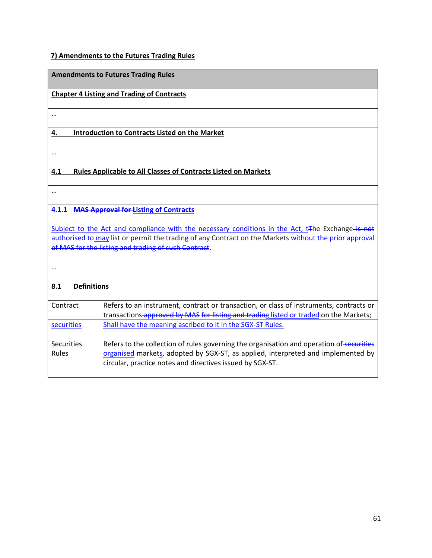# **7) Amendments to the Futures Trading Rules**

|                            | <b>Amendments to Futures Trading Rules</b>                                                                                                                                                                                                                                     |  |  |  |  |  |
|----------------------------|--------------------------------------------------------------------------------------------------------------------------------------------------------------------------------------------------------------------------------------------------------------------------------|--|--|--|--|--|
|                            | <b>Chapter 4 Listing and Trading of Contracts</b>                                                                                                                                                                                                                              |  |  |  |  |  |
| $\cdots$                   |                                                                                                                                                                                                                                                                                |  |  |  |  |  |
| 4.                         | <b>Introduction to Contracts Listed on the Market</b>                                                                                                                                                                                                                          |  |  |  |  |  |
| $\cdots$                   |                                                                                                                                                                                                                                                                                |  |  |  |  |  |
| 4.1                        | <b>Rules Applicable to All Classes of Contracts Listed on Markets</b>                                                                                                                                                                                                          |  |  |  |  |  |
| $\cdots$                   |                                                                                                                                                                                                                                                                                |  |  |  |  |  |
|                            | 4.1.1 MAS Approval for Listing of Contracts                                                                                                                                                                                                                                    |  |  |  |  |  |
|                            | Subject to the Act and compliance with the necessary conditions in the Act, t <sub>The Exchange-is not</sub><br>authorised to may list or permit the trading of any Contract on the Markets-without the prior approval<br>of MAS for the listing and trading of such Contract. |  |  |  |  |  |
| $\ddotsc$                  |                                                                                                                                                                                                                                                                                |  |  |  |  |  |
| <b>Definitions</b><br>8.1  |                                                                                                                                                                                                                                                                                |  |  |  |  |  |
| Contract                   | Refers to an instrument, contract or transaction, or class of instruments, contracts or<br>transactions-approved by MAS for listing and trading listed or traded on the Markets;                                                                                               |  |  |  |  |  |
| securities                 | Shall have the meaning ascribed to it in the SGX-ST Rules.                                                                                                                                                                                                                     |  |  |  |  |  |
| <b>Securities</b><br>Rules | Refers to the collection of rules governing the organisation and operation of securities<br>organised markets, adopted by SGX-ST, as applied, interpreted and implemented by<br>circular, practice notes and directives issued by SGX-ST.                                      |  |  |  |  |  |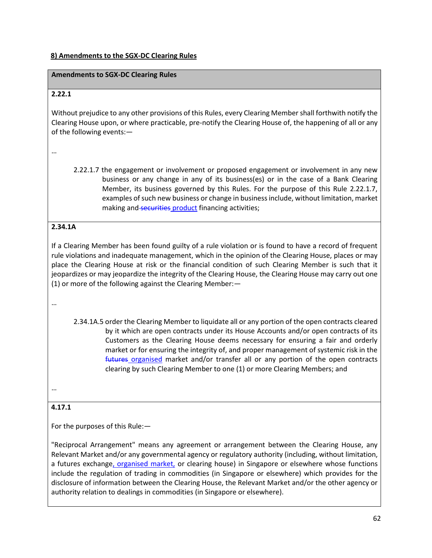#### **8) Amendments to the SGX-DC Clearing Rules**

#### **Amendments to SGX-DC Clearing Rules**

#### **2.22.1**

Without prejudice to any other provisions of this Rules, every Clearing Member shall forthwith notify the Clearing House upon, or where practicable, pre-notify the Clearing House of, the happening of all or any of the following events:—

…

2.22.1.7 the engagement or involvement or proposed engagement or involvement in any new business or any change in any of its business(es) or in the case of a Bank Clearing Member, its business governed by this Rules. For the purpose of this Rule 2.22.1.7, examples of such new business or change in business include, without limitation, market making and securities product financing activities;

#### **2.34.1A**

If a Clearing Member has been found guilty of a rule violation or is found to have a record of frequent rule violations and inadequate management, which in the opinion of the Clearing House, places or may place the Clearing House at risk or the financial condition of such Clearing Member is such that it jeopardizes or may jeopardize the integrity of the Clearing House, the Clearing House may carry out one (1) or more of the following against the Clearing Member:—

…

2.34.1A.5 order the Clearing Member to liquidate all or any portion of the open contracts cleared by it which are open contracts under its House Accounts and/or open contracts of its Customers as the Clearing House deems necessary for ensuring a fair and orderly market or for ensuring the integrity of, and proper management of systemic risk in the futures organised market and/or transfer all or any portion of the open contracts clearing by such Clearing Member to one (1) or more Clearing Members; and

…

#### **4.17.1**

For the purposes of this Rule:—

"Reciprocal Arrangement" means any agreement or arrangement between the Clearing House, any Relevant Market and/or any governmental agency or regulatory authority (including, without limitation, a futures exchange, organised market, or clearing house) in Singapore or elsewhere whose functions include the regulation of trading in commodities (in Singapore or elsewhere) which provides for the disclosure of information between the Clearing House, the Relevant Market and/or the other agency or authority relation to dealings in commodities (in Singapore or elsewhere).